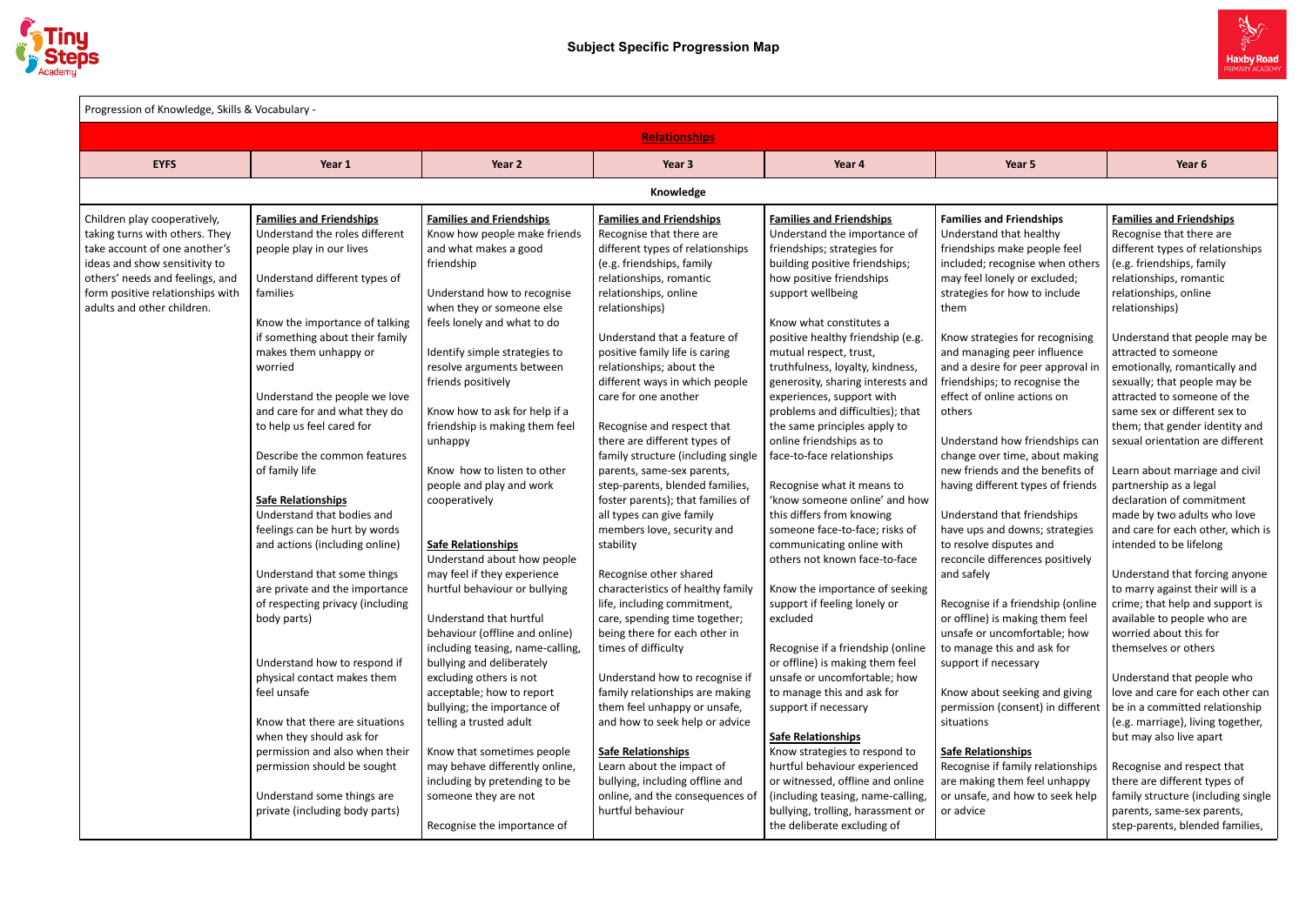

| Progression of Knowledge, Skills & Vocabulary - |                                  |                                  |                                    |                                   |                                   |                                    |
|-------------------------------------------------|----------------------------------|----------------------------------|------------------------------------|-----------------------------------|-----------------------------------|------------------------------------|
|                                                 |                                  |                                  | <b>Relationships</b>               |                                   |                                   |                                    |
| <b>EYFS</b>                                     | Year 1                           | Year 2                           | Year 3                             | Year 4                            | Year 5                            | Year 6                             |
|                                                 |                                  |                                  | Knowledge                          |                                   |                                   |                                    |
| Children play cooperatively,                    | <b>Families and Friendships</b>  | <b>Families and Friendships</b>  | <b>Families and Friendships</b>    | <b>Families and Friendships</b>   | <b>Families and Friendships</b>   | <b>Families and Friendships</b>    |
| taking turns with others. They                  | Understand the roles different   | Know how people make friends     | Recognise that there are           | Understand the importance of      | Understand that healthy           | Recognise that there are           |
| take account of one another's                   | people play in our lives         | and what makes a good            | different types of relationships   | friendships; strategies for       | friendships make people feel      | different types of relationships   |
| ideas and show sensitivity to                   |                                  | friendship                       | (e.g. friendships, family          | building positive friendships;    | included; recognise when others   | (e.g. friendships, family          |
| others' needs and feelings, and                 | Understand different types of    |                                  | relationships, romantic            | how positive friendships          | may feel lonely or excluded;      | relationships, romantic            |
| form positive relationships with                | families                         | Understand how to recognise      | relationships, online              | support wellbeing                 | strategies for how to include     | relationships, online              |
| adults and other children.                      |                                  | when they or someone else        | relationships)                     |                                   | them                              | relationships)                     |
|                                                 | Know the importance of talking   | feels lonely and what to do      |                                    | Know what constitutes a           |                                   |                                    |
|                                                 | if something about their family  |                                  | Understand that a feature of       | positive healthy friendship (e.g. | Know strategies for recognising   | Understand that people may be      |
|                                                 | makes them unhappy or            | Identify simple strategies to    | positive family life is caring     | mutual respect, trust,            | and managing peer influence       | attracted to someone               |
|                                                 | worried                          | resolve arguments between        | relationships; about the           | truthfulness, loyalty, kindness,  | and a desire for peer approval in | emotionally, romantically and      |
|                                                 |                                  | friends positively               | different ways in which people     | generosity, sharing interests and | friendships; to recognise the     | sexually; that people may be       |
|                                                 | Understand the people we love    |                                  | care for one another               | experiences, support with         | effect of online actions on       | attracted to someone of the        |
|                                                 | and care for and what they do    | Know how to ask for help if a    |                                    | problems and difficulties); that  | others                            | same sex or different sex to       |
|                                                 | to help us feel cared for        | friendship is making them feel   | Recognise and respect that         | the same principles apply to      |                                   | them; that gender identity and     |
|                                                 |                                  | unhappy                          | there are different types of       | online friendships as to          | Understand how friendships can    | sexual orientation are different   |
|                                                 | Describe the common features     |                                  | family structure (including single | face-to-face relationships        | change over time, about making    |                                    |
|                                                 | of family life                   | Know how to listen to other      | parents, same-sex parents,         |                                   | new friends and the benefits of   | Learn about marriage and civil     |
|                                                 |                                  | people and play and work         | step-parents, blended families,    | Recognise what it means to        | having different types of friends | partnership as a legal             |
|                                                 | <b>Safe Relationships</b>        | cooperatively                    | foster parents); that families of  | 'know someone online' and how     |                                   | declaration of commitment          |
|                                                 | Understand that bodies and       |                                  | all types can give family          | this differs from knowing         | Understand that friendships       | made by two adults who love        |
|                                                 | feelings can be hurt by words    |                                  | members love, security and         | someone face-to-face; risks of    | have ups and downs; strategies    | and care for each other, which is  |
|                                                 | and actions (including online)   | <b>Safe Relationships</b>        | stability                          | communicating online with         | to resolve disputes and           | intended to be lifelong            |
|                                                 |                                  | Understand about how people      |                                    | others not known face-to-face     | reconcile differences positively  |                                    |
|                                                 | Understand that some things      | may feel if they experience      | Recognise other shared             |                                   | and safely                        | Understand that forcing anyone     |
|                                                 | are private and the importance   | hurtful behaviour or bullying    | characteristics of healthy family  | Know the importance of seeking    |                                   | to marry against their will is a   |
|                                                 | of respecting privacy (including |                                  | life, including commitment,        | support if feeling lonely or      | Recognise if a friendship (online | crime; that help and support is    |
|                                                 | body parts)                      | Understand that hurtful          | care, spending time together;      | excluded                          | or offline) is making them feel   | available to people who are        |
|                                                 |                                  | behaviour (offline and online)   | being there for each other in      |                                   | unsafe or uncomfortable; how      | worried about this for             |
|                                                 |                                  | including teasing, name-calling, | times of difficulty                | Recognise if a friendship (online | to manage this and ask for        | themselves or others               |
|                                                 | Understand how to respond if     | bullying and deliberately        |                                    | or offline) is making them feel   | support if necessary              |                                    |
|                                                 | physical contact makes them      | excluding others is not          | Understand how to recognise if     | unsafe or uncomfortable; how      |                                   | Understand that people who         |
|                                                 | feel unsafe                      | acceptable; how to report        | family relationships are making    | to manage this and ask for        | Know about seeking and giving     | love and care for each other can   |
|                                                 |                                  | bullying; the importance of      | them feel unhappy or unsafe,       | support if necessary              | permission (consent) in different | be in a committed relationship     |
|                                                 | Know that there are situations   | telling a trusted adult          | and how to seek help or advice     |                                   | situations                        | (e.g. marriage), living together,  |
|                                                 | when they should ask for         |                                  |                                    | <b>Safe Relationships</b>         |                                   | but may also live apart            |
|                                                 | permission and also when their   | Know that sometimes people       | <b>Safe Relationships</b>          | Know strategies to respond to     | <b>Safe Relationships</b>         |                                    |
|                                                 | permission should be sought      | may behave differently online,   | Learn about the impact of          | hurtful behaviour experienced     | Recognise if family relationships | Recognise and respect that         |
|                                                 |                                  | including by pretending to be    | bullying, including offline and    | or witnessed, offline and online  | are making them feel unhappy      | there are different types of       |
|                                                 | Understand some things are       | someone they are not             | online, and the consequences o     | (including teasing, name-calling, | or unsafe, and how to seek help   | family structure (including single |
|                                                 | private (including body parts)   |                                  | hurtful behaviour                  | bullying, trolling, harassment or | or advice                         | parents, same-sex parents,         |
|                                                 |                                  | Recognise the importance of      |                                    | the deliberate excluding of       |                                   | step-parents, blended families,    |

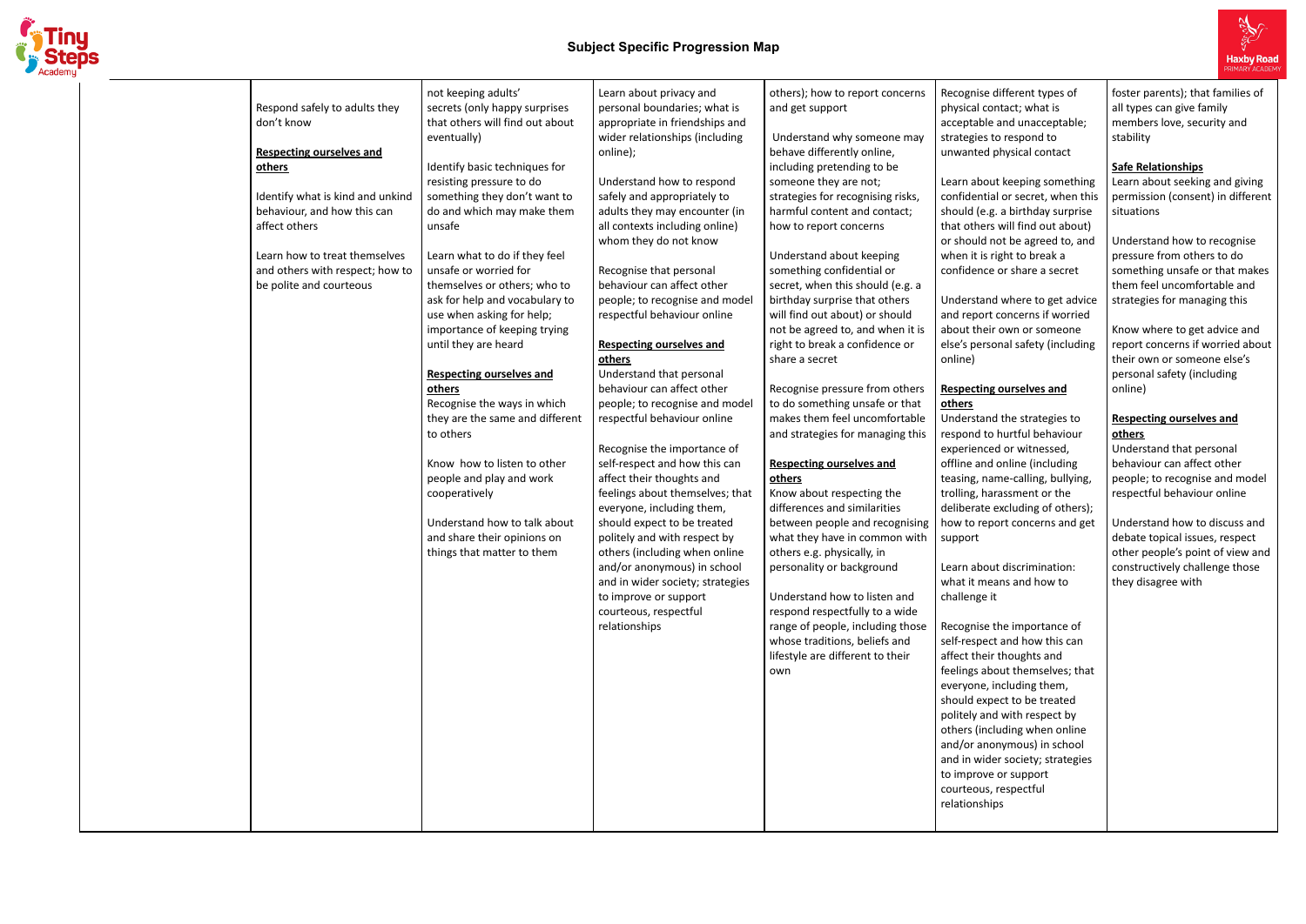

|                                  | not keeping adults'             | Learn about privacy and          | others); how to report concerns   |
|----------------------------------|---------------------------------|----------------------------------|-----------------------------------|
| Respond safely to adults they    | secrets (only happy surprises   | personal boundaries; what is     | and get support                   |
| don't know                       | that others will find out about | appropriate in friendships and   |                                   |
|                                  | eventually)                     | wider relationships (including   | Understand why someone may        |
| <b>Respecting ourselves and</b>  |                                 | online);                         | behave differently online,        |
| others                           | Identify basic techniques for   |                                  | including pretending to be        |
|                                  | resisting pressure to do        | Understand how to respond        | someone they are not;             |
| Identify what is kind and unkind | something they don't want to    | safely and appropriately to      | strategies for recognising risks, |
| behaviour, and how this can      | do and which may make them      | adults they may encounter (in    | harmful content and contact;      |
| affect others                    | unsafe                          | all contexts including online)   | how to report concerns            |
|                                  |                                 | whom they do not know            |                                   |
| Learn how to treat themselves    | Learn what to do if they feel   |                                  | Understand about keeping          |
| and others with respect; how to  | unsafe or worried for           | Recognise that personal          | something confidential or         |
| be polite and courteous          | themselves or others; who to    | behaviour can affect other       | secret, when this should (e.g. a  |
|                                  | ask for help and vocabulary to  | people; to recognise and model   | birthday surprise that others     |
|                                  | use when asking for help;       | respectful behaviour online      | will find out about) or should    |
|                                  | importance of keeping trying    |                                  | not be agreed to, and when it is  |
|                                  | until they are heard            | <b>Respecting ourselves and</b>  | right to break a confidence or    |
|                                  |                                 | others                           | share a secret                    |
|                                  | <b>Respecting ourselves and</b> | Understand that personal         |                                   |
|                                  | others                          | behaviour can affect other       | Recognise pressure from others    |
|                                  | Recognise the ways in which     | people; to recognise and model   | to do something unsafe or that    |
|                                  | they are the same and different | respectful behaviour online      | makes them feel uncomfortable     |
|                                  | to others                       |                                  | and strategies for managing this  |
|                                  |                                 | Recognise the importance of      |                                   |
|                                  | Know how to listen to other     | self-respect and how this can    | <b>Respecting ourselves and</b>   |
|                                  | people and play and work        | affect their thoughts and        | others                            |
|                                  | cooperatively                   | feelings about themselves; that  | Know about respecting the         |
|                                  |                                 | everyone, including them,        | differences and similarities      |
|                                  | Understand how to talk about    | should expect to be treated      | between people and recognising    |
|                                  | and share their opinions on     | politely and with respect by     | what they have in common with     |
|                                  | things that matter to them      | others (including when online    | others e.g. physically, in        |
|                                  |                                 | and/or anonymous) in school      | personality or background         |
|                                  |                                 | and in wider society; strategies |                                   |
|                                  |                                 | to improve or support            | Understand how to listen and      |
|                                  |                                 | courteous, respectful            | respond respectfully to a wide    |
|                                  |                                 | relationships                    | range of people, including those  |
|                                  |                                 |                                  | whose traditions, beliefs and     |
|                                  |                                 |                                  | lifestyle are different to their  |
|                                  |                                 |                                  | own                               |
|                                  |                                 |                                  |                                   |
|                                  |                                 |                                  |                                   |
|                                  |                                 |                                  |                                   |
|                                  |                                 |                                  |                                   |
|                                  |                                 |                                  |                                   |
|                                  |                                 |                                  |                                   |
|                                  |                                 |                                  |                                   |
|                                  |                                 |                                  |                                   |
|                                  |                                 |                                  |                                   |
|                                  |                                 |                                  |                                   |
|                                  |                                 |                                  |                                   |



Recognise different types of physical contact; what is acceptable and unacceptable; strategies to respond to unwanted physical contact

Learn about keeping something confidential or secret, when this should (e.g. a birthday surprise that others will find out about) or should not be agreed to, and when it is right to break a confidence or share a secret

Understand where to get advice and report concerns if worried about their own or someone else's personal safety (including

online)

# **Respecting ourselves and**

**others**

Understand the strategies to respond to hurtful behaviour experienced or witnessed, offline and online (including teasing, name-calling, bullying, trolling, harassment or the deliberate excluding of others); how to report concerns and get

support

Learn about discrimination: what it means and how to challenge it

Recognise the importance of self-respect and how this can affect their thoughts and feelings about themselves; that everyone, including them, should expect to be treated politely and with respect by others (including when online and/or anonymous) in school and in wider society; strategies to improve or support courteous, respectful relationships

foster parents); that families of all types can give family members love, security and stability

### **Safe Relationships**

Learn about seeking and giving permission (consent) in different situations

Understand how to recognise pressure from others to do something unsafe or that makes them feel uncomfortable and strategies for managing this

Know where to get advice and report concerns if worried about their own or someone else's personal safety (including online)

### **Respecting ourselves and others**

Understand that personal behaviour can affect other people; to recognise and model respectful behaviour online

Understand how to discuss and debate topical issues, respect other people's point of view and constructively challenge those they disagree with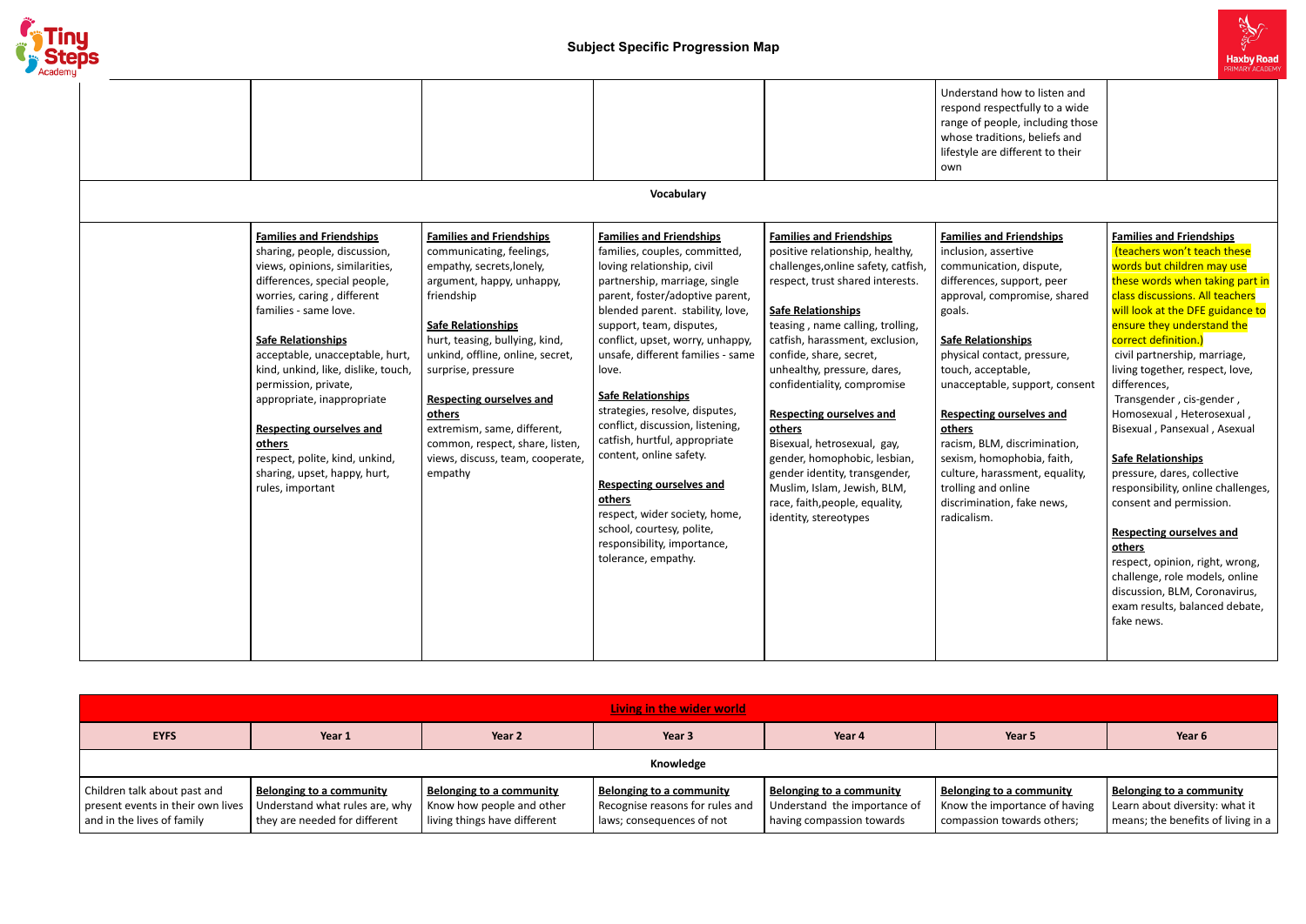

(teachers won't teach these words but children may use these words when taking part in | class discussions. All teachers will look at the DFE guidance to ensure they understand the correct definition.)

|                                                                                                                                                                                                                                                                                                                                                                                                                                                                                          |                                                                                                                                                                                                                                                                                                                                                                                                                            |                                                                                                                                                                                                                                                                                                                                                                                                                                                                                                                                                                                                                                                      |                                                                                                                                                                                                                                                                                                                                                                                                                                                                                                                                                                                   | Understand how to listen and<br>respond respectfully to a wide<br>range of people, including those<br>whose traditions, beliefs and<br>lifestyle are different to their<br>own                                                                                                                                                                                                                                                                                                                  |
|------------------------------------------------------------------------------------------------------------------------------------------------------------------------------------------------------------------------------------------------------------------------------------------------------------------------------------------------------------------------------------------------------------------------------------------------------------------------------------------|----------------------------------------------------------------------------------------------------------------------------------------------------------------------------------------------------------------------------------------------------------------------------------------------------------------------------------------------------------------------------------------------------------------------------|------------------------------------------------------------------------------------------------------------------------------------------------------------------------------------------------------------------------------------------------------------------------------------------------------------------------------------------------------------------------------------------------------------------------------------------------------------------------------------------------------------------------------------------------------------------------------------------------------------------------------------------------------|-----------------------------------------------------------------------------------------------------------------------------------------------------------------------------------------------------------------------------------------------------------------------------------------------------------------------------------------------------------------------------------------------------------------------------------------------------------------------------------------------------------------------------------------------------------------------------------|-------------------------------------------------------------------------------------------------------------------------------------------------------------------------------------------------------------------------------------------------------------------------------------------------------------------------------------------------------------------------------------------------------------------------------------------------------------------------------------------------|
|                                                                                                                                                                                                                                                                                                                                                                                                                                                                                          |                                                                                                                                                                                                                                                                                                                                                                                                                            | Vocabulary                                                                                                                                                                                                                                                                                                                                                                                                                                                                                                                                                                                                                                           |                                                                                                                                                                                                                                                                                                                                                                                                                                                                                                                                                                                   |                                                                                                                                                                                                                                                                                                                                                                                                                                                                                                 |
| <b>Families and Friendships</b><br>sharing, people, discussion,<br>views, opinions, similarities,<br>differences, special people,<br>worries, caring, different<br>families - same love.<br><b>Safe Relationships</b><br>acceptable, unacceptable, hurt,<br>kind, unkind, like, dislike, touch,<br>permission, private,<br>appropriate, inappropriate<br><b>Respecting ourselves and</b><br>others<br>respect, polite, kind, unkind,<br>sharing, upset, happy, hurt,<br>rules, important | <b>Families and Friendships</b><br>communicating, feelings,<br>empathy, secrets, lonely,<br>argument, happy, unhappy,<br>friendship<br><b>Safe Relationships</b><br>hurt, teasing, bullying, kind,<br>unkind, offline, online, secret,<br>surprise, pressure<br><b>Respecting ourselves and</b><br>others<br>extremism, same, different,<br>common, respect, share, listen,<br>views, discuss, team, cooperate,<br>empathy | <b>Families and Friendships</b><br>families, couples, committed,<br>loving relationship, civil<br>partnership, marriage, single<br>parent, foster/adoptive parent,<br>blended parent. stability, love,<br>support, team, disputes,<br>conflict, upset, worry, unhappy,<br>unsafe, different families - same<br>love.<br><b>Safe Relationships</b><br>strategies, resolve, disputes,<br>conflict, discussion, listening,<br>catfish, hurtful, appropriate<br>content, online safety.<br><b>Respecting ourselves and</b><br>others<br>respect, wider society, home,<br>school, courtesy, polite,<br>responsibility, importance,<br>tolerance, empathy. | <b>Families and Friendships</b><br>positive relationship, healthy,<br>challenges, online safety, catfish,<br>respect, trust shared interests.<br><b>Safe Relationships</b><br>teasing, name calling, trolling,<br>catfish, harassment, exclusion,<br>confide, share, secret,<br>unhealthy, pressure, dares,<br>confidentiality, compromise<br><b>Respecting ourselves and</b><br>others<br>Bisexual, hetrosexual, gay,<br>gender, homophobic, lesbian,<br>gender identity, transgender,<br>Muslim, Islam, Jewish, BLM,<br>race, faith, people, equality,<br>identity, stereotypes | <b>Families and Friendships</b><br>inclusion, assertive<br>communication, dispute,<br>differences, support, peer<br>approval, compromise, shared<br>goals.<br><b>Safe Relationships</b><br>physical contact, pressure,<br>touch, acceptable,<br>unacceptable, support, consent<br><b>Respecting ourselves and</b><br>others<br>racism, BLM, discrimination,<br>sexism, homophobia, faith,<br>culture, harassment, equality,<br>trolling and online<br>discrimination, fake news,<br>radicalism. |

# **Families and Friendships**

# civil partnership, marriage, living together, respect, love, differences,

Transgender , cis-gender , Homosexual , Heterosexual , Bisexual , Pansexual , Asexual

# **Safe Relationships**

pressure, dares, collective responsibility, online challenges, consent and permission.

#### **Respecting ourselves and others**

respect, opinion, right, wrong, challenge, role models, online discussion, BLM, Coronavirus, exam results, balanced debate, fake news.

| Living in the wider world                                                                       |                                                                                                    |                                                                                       |                                                                                                 |                                                                                       |                                                                                         |                                                                                                  |  |  |  |
|-------------------------------------------------------------------------------------------------|----------------------------------------------------------------------------------------------------|---------------------------------------------------------------------------------------|-------------------------------------------------------------------------------------------------|---------------------------------------------------------------------------------------|-----------------------------------------------------------------------------------------|--------------------------------------------------------------------------------------------------|--|--|--|
|                                                                                                 |                                                                                                    |                                                                                       |                                                                                                 |                                                                                       |                                                                                         |                                                                                                  |  |  |  |
| <b>EYFS</b>                                                                                     | Year 1                                                                                             | Year 2                                                                                | Year 3                                                                                          | Year 4                                                                                | Year 5                                                                                  | Year 6                                                                                           |  |  |  |
|                                                                                                 | Knowledge                                                                                          |                                                                                       |                                                                                                 |                                                                                       |                                                                                         |                                                                                                  |  |  |  |
| Children talk about past and<br>present events in their own lives<br>and in the lives of family | <b>Belonging to a community</b><br>Understand what rules are, why<br>they are needed for different | Belonging to a community<br>Know how people and other<br>living things have different | <b>Belonging to a community</b><br>Recognise reasons for rules and<br>laws; consequences of not | Belonging to a community<br>Understand the importance of<br>having compassion towards | Belonging to a community<br>Know the importance of having<br>compassion towards others; | Belonging to a community<br>Learn about diversity: what it<br>means; the benefits of living in a |  |  |  |

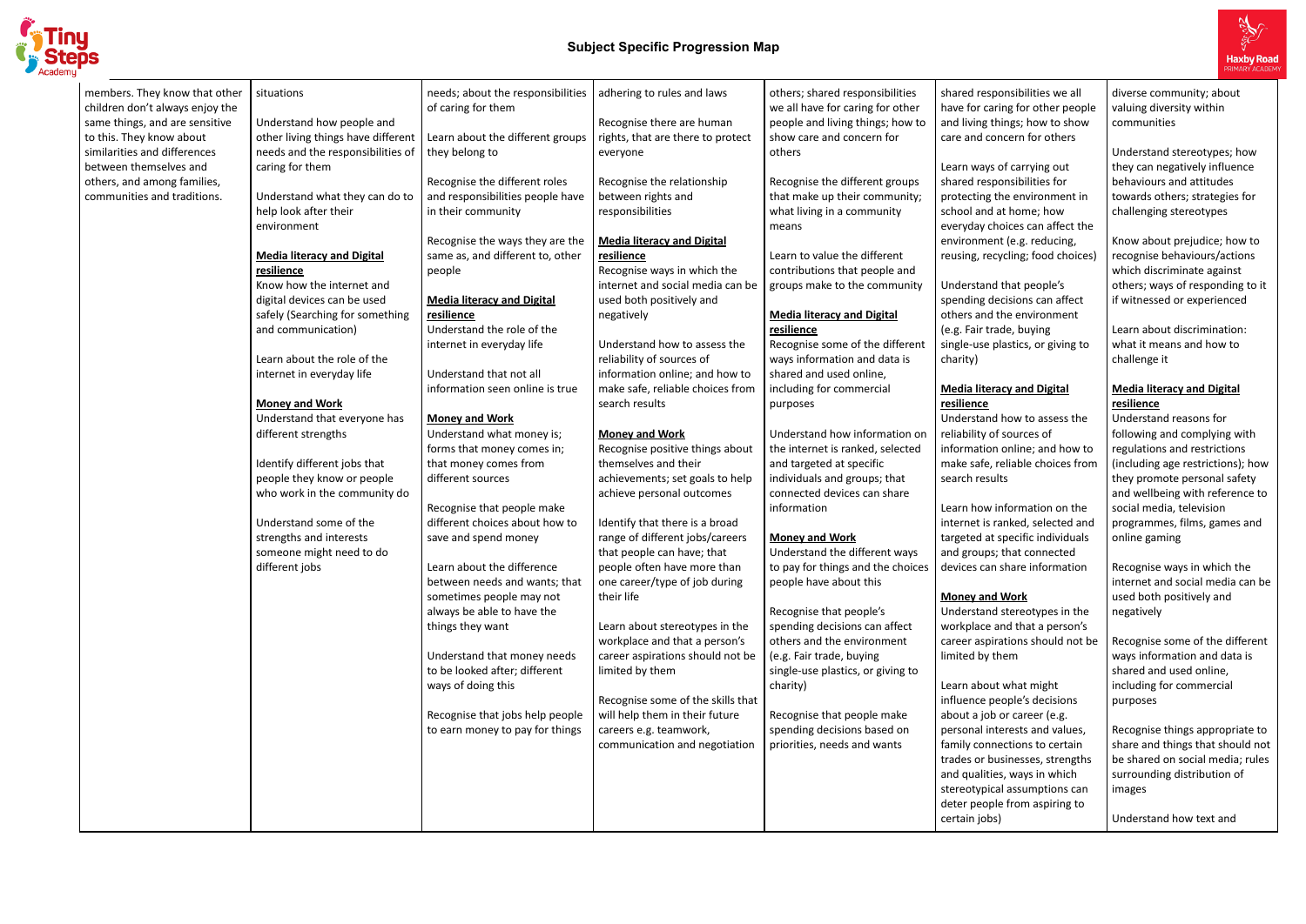

#### **Media literacy and Digital lience**

lerstand how to assess the hbility of sources of rmation online; and how to e safe, reliable choices from ch results

In how information on the rnet is ranked, selected and eted at specific individuals groups; that connected ices can share information

| members. They know that other<br>children don't always enjoy the<br>same things, and are sensitive<br>to this. They know about<br>similarities and differences<br>between themselves and<br>others, and among families,<br>communities and traditions. | situations<br>Understand how people and<br>other living things have different<br>needs and the responsibilities of<br>caring for them<br>Understand what they can do to<br>help look after their<br>environment<br><b>Media literacy and Digital</b><br>resilience<br>Know how the internet and<br>digital devices can be used<br>safely (Searching for something<br>and communication)<br>Learn about the role of the<br>internet in everyday life<br><b>Money and Work</b><br>Understand that everyone has<br>different strengths<br>Identify different jobs that<br>people they know or people<br>who work in the community do<br>Understand some of the<br>strengths and interests<br>someone might need to do<br>different jobs | needs; about the responsibilities<br>of caring for them<br>Learn about the different groups<br>they belong to<br>Recognise the different roles<br>and responsibilities people have<br>in their community<br>Recognise the ways they are the<br>same as, and different to, other<br>people<br><b>Media literacy and Digital</b><br>resilience<br>Understand the role of the<br>internet in everyday life<br>Understand that not all<br>information seen online is true<br><b>Money and Work</b><br>Understand what money is;<br>forms that money comes in;<br>that money comes from<br>different sources<br>Recognise that people make<br>different choices about how to<br>save and spend money<br>Learn about the difference<br>between needs and wants; that<br>sometimes people may not<br>always be able to have the<br>things they want<br>Understand that money needs<br>to be looked after; different<br>ways of doing this<br>Recognise that jobs help people<br>to earn money to pay for things | adhering to rules and laws<br>Recognise there are human<br>rights, that are there to protect<br>everyone<br>Recognise the relationship<br>between rights and<br>responsibilities<br><b>Media literacy and Digital</b><br>resilience<br>Recognise ways in which the<br>internet and social media can be<br>used both positively and<br>negatively<br>Understand how to assess the<br>reliability of sources of<br>information online; and how to<br>make safe, reliable choices from<br>search results<br><b>Money and Work</b><br>Recognise positive things about<br>themselves and their<br>achievements; set goals to help<br>achieve personal outcomes<br>Identify that there is a broad<br>range of different jobs/careers<br>that people can have; that<br>people often have more than<br>one career/type of job during<br>their life<br>Learn about stereotypes in the<br>workplace and that a person's<br>career aspirations should not be<br>limited by them<br>Recognise some of the skills that<br>will help them in their future<br>careers e.g. teamwork,<br>communication and negotiation | others; shared responsibilities<br>we all have for caring for other<br>people and living things; how to<br>show care and concern for<br>others<br>Recognise the different groups<br>that make up their community;<br>what living in a community<br>means<br>Learn to value the different<br>contributions that people and<br>groups make to the community<br><b>Media literacy and Digital</b><br>resilience<br>Recognise some of the different<br>ways information and data is<br>shared and used online,<br>including for commercial<br>purposes<br>Understand how information on<br>the internet is ranked, selected<br>and targeted at specific<br>individuals and groups; that<br>connected devices can share<br>information<br><b>Money and Work</b><br>Understand the different ways<br>to pay for things and the choices<br>people have about this<br>Recognise that people's<br>spending decisions can affect<br>others and the environment<br>(e.g. Fair trade, buying<br>single-use plastics, or giving to<br>charity)<br>Recognise that people make<br>spending decisions based on<br>priorities, needs and wants | shared r<br>have for<br>and livin<br>care and<br>Learn w<br>shared r<br>protecti<br>school a<br>everyda<br>environ<br>reusing,<br>Underst<br>spendin<br>others a<br>(e.g. Fair<br>single-us<br>charity)<br><b>Media li</b><br>resiliend<br>Underst<br>reliabilit<br>informat<br>make sa<br>search r<br>Learn ho<br>internet<br>targeted<br>and grou<br>devices<br>Money a<br>Underst<br>workpla<br>career a<br>limited b<br>Learn ak<br>influenc<br>about a<br>persona<br>family co |
|--------------------------------------------------------------------------------------------------------------------------------------------------------------------------------------------------------------------------------------------------------|--------------------------------------------------------------------------------------------------------------------------------------------------------------------------------------------------------------------------------------------------------------------------------------------------------------------------------------------------------------------------------------------------------------------------------------------------------------------------------------------------------------------------------------------------------------------------------------------------------------------------------------------------------------------------------------------------------------------------------------|----------------------------------------------------------------------------------------------------------------------------------------------------------------------------------------------------------------------------------------------------------------------------------------------------------------------------------------------------------------------------------------------------------------------------------------------------------------------------------------------------------------------------------------------------------------------------------------------------------------------------------------------------------------------------------------------------------------------------------------------------------------------------------------------------------------------------------------------------------------------------------------------------------------------------------------------------------------------------------------------------------|--------------------------------------------------------------------------------------------------------------------------------------------------------------------------------------------------------------------------------------------------------------------------------------------------------------------------------------------------------------------------------------------------------------------------------------------------------------------------------------------------------------------------------------------------------------------------------------------------------------------------------------------------------------------------------------------------------------------------------------------------------------------------------------------------------------------------------------------------------------------------------------------------------------------------------------------------------------------------------------------------------------------------------------------------------------------------------------------------------|-------------------------------------------------------------------------------------------------------------------------------------------------------------------------------------------------------------------------------------------------------------------------------------------------------------------------------------------------------------------------------------------------------------------------------------------------------------------------------------------------------------------------------------------------------------------------------------------------------------------------------------------------------------------------------------------------------------------------------------------------------------------------------------------------------------------------------------------------------------------------------------------------------------------------------------------------------------------------------------------------------------------------------------------------------------------------------------------------------------------------------|-------------------------------------------------------------------------------------------------------------------------------------------------------------------------------------------------------------------------------------------------------------------------------------------------------------------------------------------------------------------------------------------------------------------------------------------------------------------------------------|
|                                                                                                                                                                                                                                                        |                                                                                                                                                                                                                                                                                                                                                                                                                                                                                                                                                                                                                                                                                                                                      |                                                                                                                                                                                                                                                                                                                                                                                                                                                                                                                                                                                                                                                                                                                                                                                                                                                                                                                                                                                                          |                                                                                                                                                                                                                                                                                                                                                                                                                                                                                                                                                                                                                                                                                                                                                                                                                                                                                                                                                                                                                                                                                                        |                                                                                                                                                                                                                                                                                                                                                                                                                                                                                                                                                                                                                                                                                                                                                                                                                                                                                                                                                                                                                                                                                                                               | trades o<br>and qua<br>stereoty<br>deter pe<br>certain j                                                                                                                                                                                                                                                                                                                                                                                                                            |



red responsibilities we all for caring for other people living things; how to show and concern for others

rn ways of carrying out red responsibilities for ecting the environment in ool and at home; how yday choices can affect the ronment (e.g. reducing, ing, recycling; food choices)

erstand that people's nding decisions can affect ers and the environment . Fair trade, buying le-use plastics, or giving to

# **Money and Work**

lerstand stereotypes in the kplace and that a person's er aspirations should not be ted by them

n about what might ience people's decisions ut a job or career (e.g. sonal interests and values, ily connections to certain es or businesses, strengths qualities, ways in which eotypical assumptions can er people from aspiring to ain jobs)

diverse community; about valuing diversity within communities

Understand stereotypes; how they can negatively influence behaviours and attitudes towards others; strategies for challenging stereotypes

Know about prejudice; how to recognise behaviours/actions which discriminate against others; ways of responding to it if witnessed or experienced

Learn about discrimination: what it means and how to challenge it

# **Media literacy and Digital resilience**

Understand reasons for following and complying with regulations and restrictions (including age restrictions); how they promote personal safety and wellbeing with reference to social media, television programmes, films, games and online gaming

Recognise ways in which the internet and social media can be used both positively and negatively

Recognise some of the different ways information and data is shared and used online, including for commercial purposes

Recognise things appropriate to share and things that should not be shared on social media; rules surrounding distribution of images

Understand how text and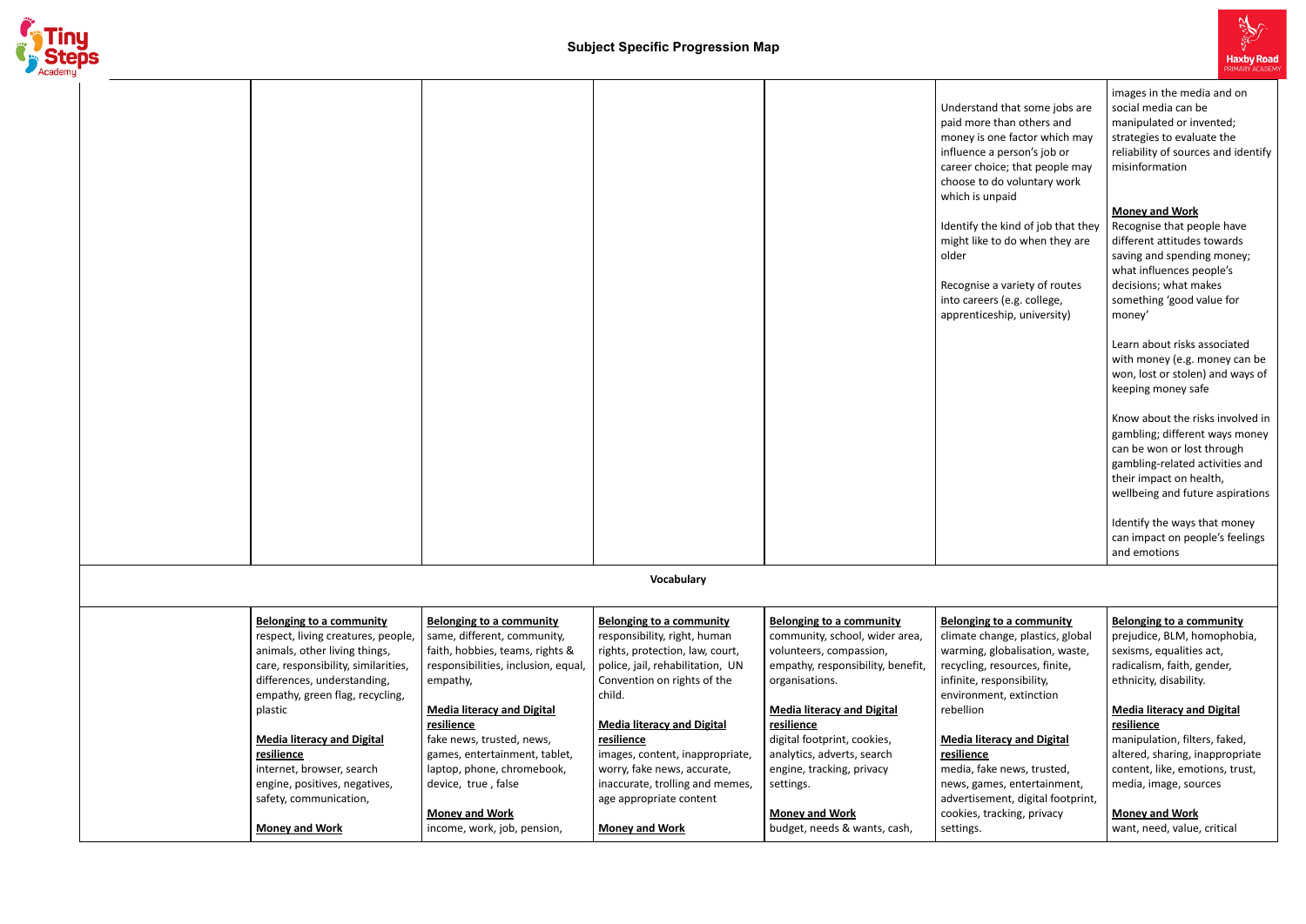

|  |                                                                                                                                                                                                                                                                                                                                                                       |                                                                                                                                                                                                                                                                                                                                                     |                                                                                                                                                                                                                                                                                                                                                                    |                                                                                                                                                                                                                                                                                                                                        | Understand that some jobs are<br>paid more than others and<br>money is one factor which may<br>influence a person's job or<br>career choice; that people may<br>choose to do voluntary work<br>which is unpaid<br>Identify the kind of job that they<br>might like to do when they are<br>older<br>Recognise a variety of routes<br>into careers (e.g. college,<br>apprenticeship, university) | images in the media and on<br>social media can be<br>manipulated or invented;<br>strategies to evaluate the<br>reliability of sources and identify<br>misinformation<br><b>Money and Work</b><br>Recognise that people have<br>different attitudes towards<br>saving and spending money;<br>what influences people's<br>decisions; what makes<br>something 'good value for<br>money'<br>Learn about risks associated<br>with money (e.g. money can be<br>won, lost or stolen) and ways of<br>keeping money safe<br>Know about the risks involved in<br>gambling; different ways money<br>can be won or lost through<br>gambling-related activities and<br>their impact on health,<br>wellbeing and future aspirations<br>Identify the ways that money<br>can impact on people's feelings<br>and emotions |
|--|-----------------------------------------------------------------------------------------------------------------------------------------------------------------------------------------------------------------------------------------------------------------------------------------------------------------------------------------------------------------------|-----------------------------------------------------------------------------------------------------------------------------------------------------------------------------------------------------------------------------------------------------------------------------------------------------------------------------------------------------|--------------------------------------------------------------------------------------------------------------------------------------------------------------------------------------------------------------------------------------------------------------------------------------------------------------------------------------------------------------------|----------------------------------------------------------------------------------------------------------------------------------------------------------------------------------------------------------------------------------------------------------------------------------------------------------------------------------------|------------------------------------------------------------------------------------------------------------------------------------------------------------------------------------------------------------------------------------------------------------------------------------------------------------------------------------------------------------------------------------------------|----------------------------------------------------------------------------------------------------------------------------------------------------------------------------------------------------------------------------------------------------------------------------------------------------------------------------------------------------------------------------------------------------------------------------------------------------------------------------------------------------------------------------------------------------------------------------------------------------------------------------------------------------------------------------------------------------------------------------------------------------------------------------------------------------------|
|  |                                                                                                                                                                                                                                                                                                                                                                       |                                                                                                                                                                                                                                                                                                                                                     | Vocabulary                                                                                                                                                                                                                                                                                                                                                         |                                                                                                                                                                                                                                                                                                                                        |                                                                                                                                                                                                                                                                                                                                                                                                |                                                                                                                                                                                                                                                                                                                                                                                                                                                                                                                                                                                                                                                                                                                                                                                                          |
|  | <b>Belonging to a community</b><br>respect, living creatures, people,<br>animals, other living things,<br>care, responsibility, similarities,<br>differences, understanding,<br>empathy, green flag, recycling,<br>plastic<br><b>Media literacy and Digital</b><br>resilience<br>internet, browser, search<br>engine, positives, negatives,<br>safety, communication, | <b>Belonging to a community</b><br>same, different, community,<br>faith, hobbies, teams, rights &<br>responsibilities, inclusion, equal,<br>empathy,<br><b>Media literacy and Digital</b><br>resilience<br>fake news, trusted, news,<br>games, entertainment, tablet,<br>laptop, phone, chromebook,<br>device, true, false<br><b>Money and Work</b> | <b>Belonging to a community</b><br>responsibility, right, human<br>rights, protection, law, court,<br>police, jail, rehabilitation, UN<br>Convention on rights of the<br>child.<br><b>Media literacy and Digital</b><br>resilience<br>images, content, inappropriate,<br>worry, fake news, accurate,<br>inaccurate, trolling and memes,<br>age appropriate content | <b>Belonging to a community</b><br>community, school, wider area,<br>volunteers, compassion,<br>empathy, responsibility, benefit,<br>organisations.<br><b>Media literacy and Digital</b><br>resilience<br>digital footprint, cookies,<br>analytics, adverts, search<br>engine, tracking, privacy<br>settings.<br><b>Money and Work</b> | <b>Belonging to a community</b><br>climate change, plastics, global<br>warming, globalisation, waste,<br>recycling, resources, finite,<br>infinite, responsibility,<br>environment, extinction<br>rebellion<br><b>Media literacy and Digital</b><br>resilience<br>media, fake news, trusted,<br>news, games, entertainment,<br>advertisement, digital footprint,<br>cookies, tracking, privacy | <b>Belonging to a community</b><br>prejudice, BLM, homophobia,<br>sexisms, equalities act,<br>radicalism, faith, gender,<br>ethnicity, disability.<br><b>Media literacy and Digital</b><br>resilience<br>manipulation, filters, faked,<br>altered, sharing, inappropriate<br>content, like, emotions, trust,<br>media, image, sources<br><b>Money and Work</b>                                                                                                                                                                                                                                                                                                                                                                                                                                           |
|  | <b>Money and Work</b>                                                                                                                                                                                                                                                                                                                                                 | income, work, job, pension,                                                                                                                                                                                                                                                                                                                         | <b>Money and Work</b>                                                                                                                                                                                                                                                                                                                                              | budget, needs & wants, cash,                                                                                                                                                                                                                                                                                                           | settings.                                                                                                                                                                                                                                                                                                                                                                                      | want, need, value, critical                                                                                                                                                                                                                                                                                                                                                                                                                                                                                                                                                                                                                                                                                                                                                                              |

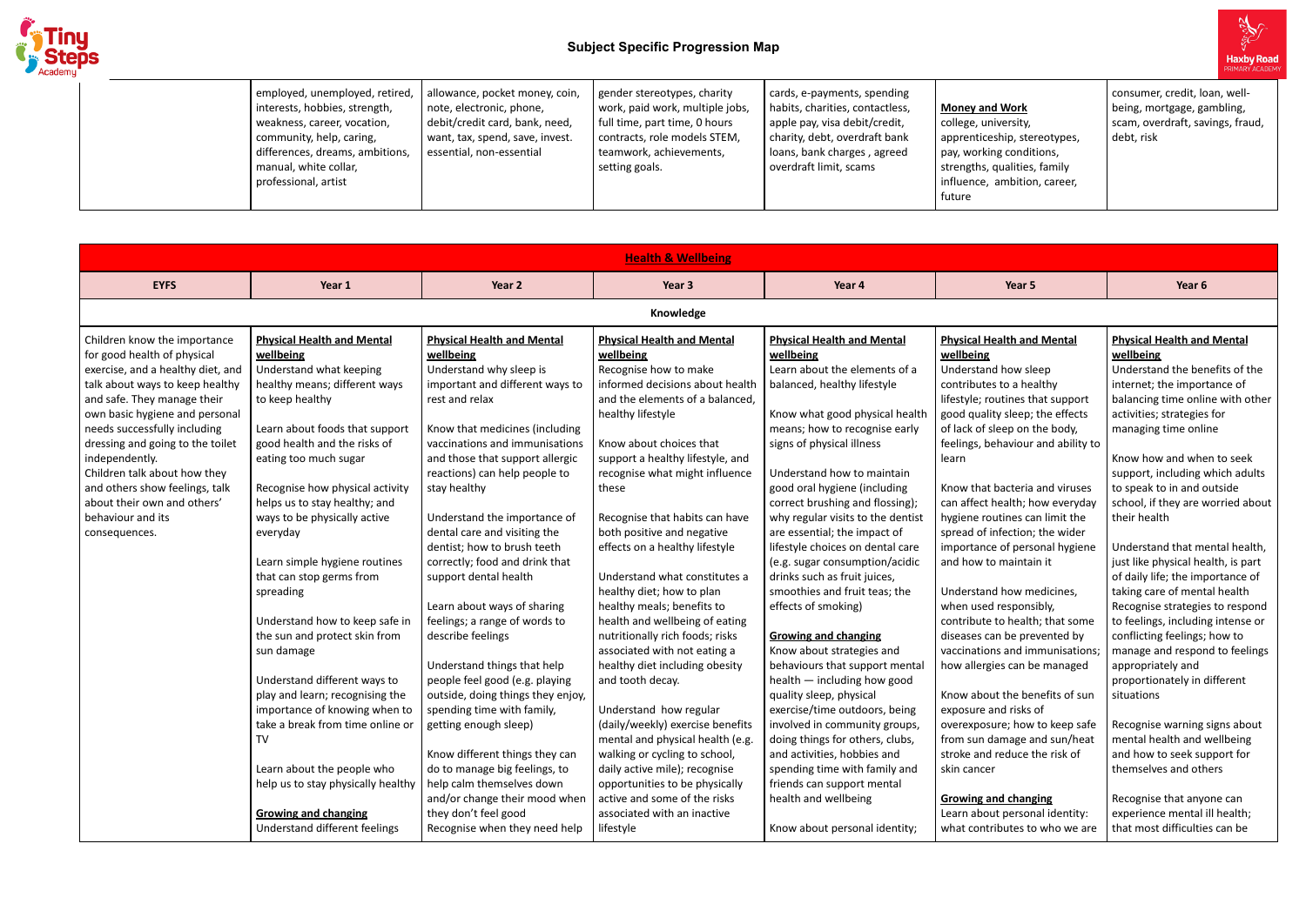

# **Subject Specific Progression Map**

|  | employed, unemployed, retired,<br>interests, hobbies, strength,<br>weakness, career, vocation,<br>community, help, caring,<br>differences, dreams, ambitions,<br>manual, white collar,<br>professional, artist | allowance, pocket money, coin,<br>note, electronic, phone,<br>debit/credit card, bank, need,<br>want, tax, spend, save, invest.<br>essential, non-essential | gender stereotypes, charity<br>work, paid work, multiple jobs,<br>full time, part time, 0 hours<br>contracts, role models STEM,<br>teamwork, achievements,<br>setting goals. | cards, e-payments, spending<br>habits, charities, contactless,<br>apple pay, visa debit/credit,<br>charity, debt, overdraft bank<br>  loans, bank charges, agreed<br>overdraft limit, scams | <b>Money and Work</b><br>college, university,<br>apprenticeship, stereotypes,<br>pay, working conditions,<br>strengths, qualities, family<br>influence, ambition, career,<br>future |
|--|----------------------------------------------------------------------------------------------------------------------------------------------------------------------------------------------------------------|-------------------------------------------------------------------------------------------------------------------------------------------------------------|------------------------------------------------------------------------------------------------------------------------------------------------------------------------------|---------------------------------------------------------------------------------------------------------------------------------------------------------------------------------------------|-------------------------------------------------------------------------------------------------------------------------------------------------------------------------------------|
|--|----------------------------------------------------------------------------------------------------------------------------------------------------------------------------------------------------------------|-------------------------------------------------------------------------------------------------------------------------------------------------------------|------------------------------------------------------------------------------------------------------------------------------------------------------------------------------|---------------------------------------------------------------------------------------------------------------------------------------------------------------------------------------------|-------------------------------------------------------------------------------------------------------------------------------------------------------------------------------------|

consumer, credit, loan, wellbeing, mortgage, gambling, scam, overdraft, savings, fraud, debt, risk

|                                                                                                                                                                                                                                                                                                                                                                                                                                   |                                                                                                                                                                                                                                                                                                                                                                                                                                                                                                                                                                                                                                                   |                                                                                                                                                                                                                                                                                                                                                                                                                                                                                                                                                                                                                                                                                                    | <b>Health &amp; Wellbeing</b>                                                                                                                                                                                                                                                                                                                                                                                                                                                                                                                                                                                                                                                                                                           |                                                                                                                                                                                                                                                                                                                                                                                                                                                                                                                                                                                                                                                                                                                                                                                                                 |                                                                                                                                                                                                                                                                                                                                                                                                                                                                                                                                                                                                                                                                                                                                                                                          |                                                                                                                                                                                                                                                                                                                                                                                                                                                                                                                                                                                        |
|-----------------------------------------------------------------------------------------------------------------------------------------------------------------------------------------------------------------------------------------------------------------------------------------------------------------------------------------------------------------------------------------------------------------------------------|---------------------------------------------------------------------------------------------------------------------------------------------------------------------------------------------------------------------------------------------------------------------------------------------------------------------------------------------------------------------------------------------------------------------------------------------------------------------------------------------------------------------------------------------------------------------------------------------------------------------------------------------------|----------------------------------------------------------------------------------------------------------------------------------------------------------------------------------------------------------------------------------------------------------------------------------------------------------------------------------------------------------------------------------------------------------------------------------------------------------------------------------------------------------------------------------------------------------------------------------------------------------------------------------------------------------------------------------------------------|-----------------------------------------------------------------------------------------------------------------------------------------------------------------------------------------------------------------------------------------------------------------------------------------------------------------------------------------------------------------------------------------------------------------------------------------------------------------------------------------------------------------------------------------------------------------------------------------------------------------------------------------------------------------------------------------------------------------------------------------|-----------------------------------------------------------------------------------------------------------------------------------------------------------------------------------------------------------------------------------------------------------------------------------------------------------------------------------------------------------------------------------------------------------------------------------------------------------------------------------------------------------------------------------------------------------------------------------------------------------------------------------------------------------------------------------------------------------------------------------------------------------------------------------------------------------------|------------------------------------------------------------------------------------------------------------------------------------------------------------------------------------------------------------------------------------------------------------------------------------------------------------------------------------------------------------------------------------------------------------------------------------------------------------------------------------------------------------------------------------------------------------------------------------------------------------------------------------------------------------------------------------------------------------------------------------------------------------------------------------------|----------------------------------------------------------------------------------------------------------------------------------------------------------------------------------------------------------------------------------------------------------------------------------------------------------------------------------------------------------------------------------------------------------------------------------------------------------------------------------------------------------------------------------------------------------------------------------------|
| <b>EYFS</b>                                                                                                                                                                                                                                                                                                                                                                                                                       | Year 1                                                                                                                                                                                                                                                                                                                                                                                                                                                                                                                                                                                                                                            | Year 2                                                                                                                                                                                                                                                                                                                                                                                                                                                                                                                                                                                                                                                                                             | Year 3                                                                                                                                                                                                                                                                                                                                                                                                                                                                                                                                                                                                                                                                                                                                  | Year 4                                                                                                                                                                                                                                                                                                                                                                                                                                                                                                                                                                                                                                                                                                                                                                                                          | Year 5                                                                                                                                                                                                                                                                                                                                                                                                                                                                                                                                                                                                                                                                                                                                                                                   | Year 6                                                                                                                                                                                                                                                                                                                                                                                                                                                                                                                                                                                 |
|                                                                                                                                                                                                                                                                                                                                                                                                                                   |                                                                                                                                                                                                                                                                                                                                                                                                                                                                                                                                                                                                                                                   |                                                                                                                                                                                                                                                                                                                                                                                                                                                                                                                                                                                                                                                                                                    | Knowledge                                                                                                                                                                                                                                                                                                                                                                                                                                                                                                                                                                                                                                                                                                                               |                                                                                                                                                                                                                                                                                                                                                                                                                                                                                                                                                                                                                                                                                                                                                                                                                 |                                                                                                                                                                                                                                                                                                                                                                                                                                                                                                                                                                                                                                                                                                                                                                                          |                                                                                                                                                                                                                                                                                                                                                                                                                                                                                                                                                                                        |
| Children know the importance<br>for good health of physical<br>exercise, and a healthy diet, and<br>talk about ways to keep healthy<br>and safe. They manage their<br>own basic hygiene and personal<br>needs successfully including<br>dressing and going to the toilet<br>independently.<br>Children talk about how they<br>and others show feelings, talk<br>about their own and others'<br>behaviour and its<br>consequences. | <b>Physical Health and Mental</b><br>wellbeing<br>Understand what keeping<br>healthy means; different ways<br>to keep healthy<br>Learn about foods that support<br>good health and the risks of<br>eating too much sugar<br>Recognise how physical activity<br>helps us to stay healthy; and<br>ways to be physically active<br>everyday<br>Learn simple hygiene routines<br>that can stop germs from<br>spreading<br>Understand how to keep safe in<br>the sun and protect skin from<br>sun damage<br>Understand different ways to<br>play and learn; recognising the<br>importance of knowing when to<br>take a break from time online or<br>TV | <b>Physical Health and Mental</b><br>wellbeing<br>Understand why sleep is<br>important and different ways to<br>rest and relax<br>Know that medicines (including<br>vaccinations and immunisations<br>and those that support allergic<br>reactions) can help people to<br>stay healthy<br>Understand the importance of<br>dental care and visiting the<br>dentist; how to brush teeth<br>correctly; food and drink that<br>support dental health<br>Learn about ways of sharing<br>feelings; a range of words to<br>describe feelings<br>Understand things that help<br>people feel good (e.g. playing<br>outside, doing things they enjoy,<br>spending time with family,<br>getting enough sleep) | <b>Physical Health and Mental</b><br>wellbeing<br>Recognise how to make<br>informed decisions about health<br>and the elements of a balanced,<br>healthy lifestyle<br>Know about choices that<br>support a healthy lifestyle, and<br>recognise what might influence<br>these<br>Recognise that habits can have<br>both positive and negative<br>effects on a healthy lifestyle<br>Understand what constitutes a<br>healthy diet; how to plan<br>healthy meals; benefits to<br>health and wellbeing of eating<br>nutritionally rich foods; risks<br>associated with not eating a<br>healthy diet including obesity<br>and tooth decay.<br>Understand how regular<br>(daily/weekly) exercise benefits<br>mental and physical health (e.g. | <b>Physical Health and Mental</b><br>wellbeing<br>Learn about the elements of a<br>balanced, healthy lifestyle<br>Know what good physical health<br>means; how to recognise early<br>signs of physical illness<br>Understand how to maintain<br>good oral hygiene (including<br>correct brushing and flossing);<br>why regular visits to the dentist<br>are essential; the impact of<br>lifestyle choices on dental care<br>(e.g. sugar consumption/acidic<br>drinks such as fruit juices,<br>smoothies and fruit teas; the<br>effects of smoking)<br><b>Growing and changing</b><br>Know about strategies and<br>behaviours that support mental<br>health - including how good<br>quality sleep, physical<br>exercise/time outdoors, being<br>involved in community groups,<br>doing things for others, clubs, | <b>Physical Health and Mental</b><br>wellbeing<br>Understand how sleep<br>contributes to a healthy<br>lifestyle; routines that support<br>good quality sleep; the effects<br>of lack of sleep on the body,<br>feelings, behaviour and ability to<br>learn<br>Know that bacteria and viruses<br>can affect health; how everyday<br>hygiene routines can limit the<br>spread of infection; the wider<br>importance of personal hygiene<br>and how to maintain it<br>Understand how medicines,<br>when used responsibly,<br>contribute to health; that some<br>diseases can be prevented by<br>vaccinations and immunisations;<br>how allergies can be managed<br>Know about the benefits of sun<br>exposure and risks of<br>overexposure; how to keep safe<br>from sun damage and sun/heat | <b>Physical Health and</b><br>wellbeing<br>Understand the ben<br>internet; the import<br>balancing time onlin<br>activities; strategies<br>managing time onlir<br>Know how and whe<br>support, including w<br>to speak to in and o<br>school, if they are w<br>their health<br>Understand that me<br>just like physical hea<br>of daily life; the imp<br>taking care of menta<br>Recognise strategies<br>to feelings, including<br>conflicting feelings;<br>manage and respon<br>appropriately and<br>proportionately in d<br>situations<br>Recognise warning s<br>mental health and v |
|                                                                                                                                                                                                                                                                                                                                                                                                                                   | Learn about the people who<br>help us to stay physically healthy<br><b>Growing and changing</b><br>Understand different feelings                                                                                                                                                                                                                                                                                                                                                                                                                                                                                                                  | Know different things they can<br>do to manage big feelings, to<br>help calm themselves down<br>and/or change their mood when<br>they don't feel good<br>Recognise when they need help                                                                                                                                                                                                                                                                                                                                                                                                                                                                                                             | walking or cycling to school,<br>daily active mile); recognise<br>opportunities to be physically<br>active and some of the risks<br>associated with an inactive<br>lifestyle                                                                                                                                                                                                                                                                                                                                                                                                                                                                                                                                                            | and activities, hobbies and<br>spending time with family and<br>friends can support mental<br>health and wellbeing<br>Know about personal identity;                                                                                                                                                                                                                                                                                                                                                                                                                                                                                                                                                                                                                                                             | stroke and reduce the risk of<br>skin cancer<br><b>Growing and changing</b><br>Learn about personal identity:<br>what contributes to who we are                                                                                                                                                                                                                                                                                                                                                                                                                                                                                                                                                                                                                                          | and how to seek sup<br>themselves and oth<br>Recognise that anyo<br>experience mental i<br>that most difficultie                                                                                                                                                                                                                                                                                                                                                                                                                                                                       |



# **Physical Health and Mental**

### **Physical Health and Mental wellbeing**

Understand the benefits of the internet; the importance of balancing time online with other activities; strategies for managing time online

Know how and when to seek support, including which adults to speak to in and outside school, if they are worried about their health

Understand that mental health, just like physical health, is part of daily life; the importance of taking care of mental health Recognise strategies to respond to feelings, including intense or conflicting feelings; how to manage and respond to feelings appropriately and proportionately in different situations

Recognise warning signs about mental health and wellbeing and how to seek support for themselves and others

Recognise that anyone can experience mental ill health; that most difficulties can be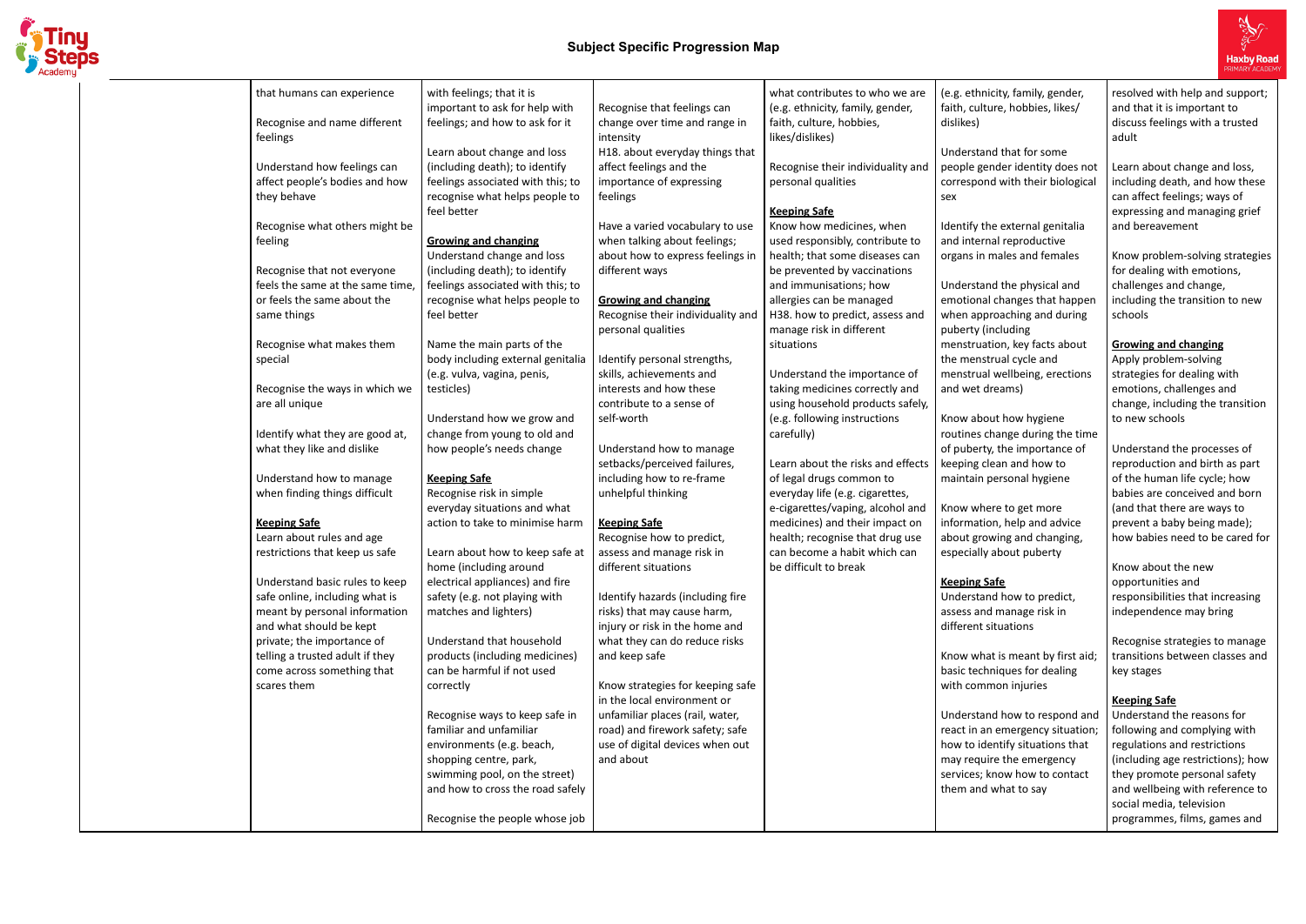

| with feelings; that it is<br>what contributes to who we are<br>that humans can experience<br>important to ask for help with<br>(e.g. ethnicity, family, gender,<br>Recognise that feelings can<br>Recognise and name different<br>feelings; and how to ask for it<br>faith, culture, hobbies,<br>change over time and range in<br>feelings<br>likes/dislikes)<br>intensity<br>Learn about change and loss<br>H18. about everyday things that<br>Understand how feelings can<br>(including death); to identify<br>affect feelings and the<br>Recognise their individuality and<br>affect people's bodies and how<br>feelings associated with this; to<br>importance of expressing<br>personal qualities<br>they behave<br>recognise what helps people to<br>feelings<br>feel better<br><b>Keeping Safe</b><br>Recognise what others might be<br>Know how medicines, when<br>Have a varied vocabulary to use<br>when talking about feelings;<br>used responsibly, contribute to<br>feeling<br><b>Growing and changing</b><br>Understand change and loss<br>about how to express feelings in<br>health; that some diseases can<br>(including death); to identify<br>Recognise that not everyone<br>be prevented by vaccinations<br>different ways<br>feels the same at the same time<br>feelings associated with this; to<br>and immunisations; how<br>or feels the same about the<br>allergies can be managed<br>recognise what helps people to<br><b>Growing and changing</b><br>feel better<br>Recognise their individuality and<br>H38. how to predict, assess and<br>same things<br>manage risk in different<br>personal qualities<br>Name the main parts of the<br>Recognise what makes them<br>situations<br>body including external genitalia<br>Identify personal strengths,<br>special<br>(e.g. vulva, vagina, penis,<br>skills, achievements and<br>Understand the importance of<br>Recognise the ways in which we<br>interests and how these<br>taking medicines correctly and<br>testicles)<br>using household products safely,<br>are all unique<br>contribute to a sense of<br>Understand how we grow and<br>(e.g. following instructions<br>self-worth<br>change from young to old and<br>Identify what they are good at,<br>carefully)<br>what they like and dislike<br>how people's needs change<br>Understand how to manage<br>setbacks/perceived failures,<br>Learn about the risks and effects<br>Understand how to manage<br>including how to re-frame<br>of legal drugs common to<br><b>Keeping Safe</b><br>when finding things difficult<br>Recognise risk in simple<br>unhelpful thinking<br>everyday life (e.g. cigarettes,<br>everyday situations and what<br>e-cigarettes/vaping, alcohol and<br>action to take to minimise harm<br>medicines) and their impact on<br><b>Keeping Safe</b><br><b>Keeping Safe</b><br>Learn about rules and age<br>Recognise how to predict,<br>health; recognise that drug use<br>assess and manage risk in<br>Learn about how to keep safe at<br>can become a habit which can<br>restrictions that keep us safe<br>different situations<br>be difficult to break<br>home (including around<br>electrical appliances) and fire<br>Understand basic rules to keep<br>safe online, including what is<br>safety (e.g. not playing with<br>Identify hazards (including fire<br>meant by personal information<br>matches and lighters)<br>risks) that may cause harm,<br>and what should be kept<br>injury or risk in the home and<br>Understand that household<br>private; the importance of<br>what they can do reduce risks<br>telling a trusted adult if they<br>products (including medicines)<br>and keep safe<br>come across something that<br>can be harmful if not used<br>scares them<br>Know strategies for keeping safe<br>correctly<br>in the local environment or<br>Recognise ways to keep safe in<br>unfamiliar places (rail, water,<br>familiar and unfamiliar<br>road) and firework safety; safe<br>use of digital devices when out<br>environments (e.g. beach,<br>and about<br>shopping centre, park,<br>swimming pool, on the street)<br>and how to cross the road safely |                    |
|---------------------------------------------------------------------------------------------------------------------------------------------------------------------------------------------------------------------------------------------------------------------------------------------------------------------------------------------------------------------------------------------------------------------------------------------------------------------------------------------------------------------------------------------------------------------------------------------------------------------------------------------------------------------------------------------------------------------------------------------------------------------------------------------------------------------------------------------------------------------------------------------------------------------------------------------------------------------------------------------------------------------------------------------------------------------------------------------------------------------------------------------------------------------------------------------------------------------------------------------------------------------------------------------------------------------------------------------------------------------------------------------------------------------------------------------------------------------------------------------------------------------------------------------------------------------------------------------------------------------------------------------------------------------------------------------------------------------------------------------------------------------------------------------------------------------------------------------------------------------------------------------------------------------------------------------------------------------------------------------------------------------------------------------------------------------------------------------------------------------------------------------------------------------------------------------------------------------------------------------------------------------------------------------------------------------------------------------------------------------------------------------------------------------------------------------------------------------------------------------------------------------------------------------------------------------------------------------------------------------------------------------------------------------------------------------------------------------------------------------------------------------------------------------------------------------------------------------------------------------------------------------------------------------------------------------------------------------------------------------------------------------------------------------------------------------------------------------------------------------------------------------------------------------------------------------------------------------------------------------------------------------------------------------------------------------------------------------------------------------------------------------------------------------------------------------------------------------------------------------------------------------------------------------------------------------------------------------------------------------------------------------------------------------------------------------------------------------------------------------------------------------------------------------------------------------------------------------------------------------------------------------------------------------------------------------------------------------------------------------------------------------------------------------------------------------------------------------------------------------------------------------------|--------------------|
|                                                                                                                                                                                                                                                                                                                                                                                                                                                                                                                                                                                                                                                                                                                                                                                                                                                                                                                                                                                                                                                                                                                                                                                                                                                                                                                                                                                                                                                                                                                                                                                                                                                                                                                                                                                                                                                                                                                                                                                                                                                                                                                                                                                                                                                                                                                                                                                                                                                                                                                                                                                                                                                                                                                                                                                                                                                                                                                                                                                                                                                                                                                                                                                                                                                                                                                                                                                                                                                                                                                                                                                                                                                                                                                                                                                                                                                                                                                                                                                                                                                                                                                                                   | (e.g. eth          |
|                                                                                                                                                                                                                                                                                                                                                                                                                                                                                                                                                                                                                                                                                                                                                                                                                                                                                                                                                                                                                                                                                                                                                                                                                                                                                                                                                                                                                                                                                                                                                                                                                                                                                                                                                                                                                                                                                                                                                                                                                                                                                                                                                                                                                                                                                                                                                                                                                                                                                                                                                                                                                                                                                                                                                                                                                                                                                                                                                                                                                                                                                                                                                                                                                                                                                                                                                                                                                                                                                                                                                                                                                                                                                                                                                                                                                                                                                                                                                                                                                                                                                                                                                   | faith, cul         |
|                                                                                                                                                                                                                                                                                                                                                                                                                                                                                                                                                                                                                                                                                                                                                                                                                                                                                                                                                                                                                                                                                                                                                                                                                                                                                                                                                                                                                                                                                                                                                                                                                                                                                                                                                                                                                                                                                                                                                                                                                                                                                                                                                                                                                                                                                                                                                                                                                                                                                                                                                                                                                                                                                                                                                                                                                                                                                                                                                                                                                                                                                                                                                                                                                                                                                                                                                                                                                                                                                                                                                                                                                                                                                                                                                                                                                                                                                                                                                                                                                                                                                                                                                   | dislikes)          |
|                                                                                                                                                                                                                                                                                                                                                                                                                                                                                                                                                                                                                                                                                                                                                                                                                                                                                                                                                                                                                                                                                                                                                                                                                                                                                                                                                                                                                                                                                                                                                                                                                                                                                                                                                                                                                                                                                                                                                                                                                                                                                                                                                                                                                                                                                                                                                                                                                                                                                                                                                                                                                                                                                                                                                                                                                                                                                                                                                                                                                                                                                                                                                                                                                                                                                                                                                                                                                                                                                                                                                                                                                                                                                                                                                                                                                                                                                                                                                                                                                                                                                                                                                   | Understa           |
|                                                                                                                                                                                                                                                                                                                                                                                                                                                                                                                                                                                                                                                                                                                                                                                                                                                                                                                                                                                                                                                                                                                                                                                                                                                                                                                                                                                                                                                                                                                                                                                                                                                                                                                                                                                                                                                                                                                                                                                                                                                                                                                                                                                                                                                                                                                                                                                                                                                                                                                                                                                                                                                                                                                                                                                                                                                                                                                                                                                                                                                                                                                                                                                                                                                                                                                                                                                                                                                                                                                                                                                                                                                                                                                                                                                                                                                                                                                                                                                                                                                                                                                                                   | people g           |
|                                                                                                                                                                                                                                                                                                                                                                                                                                                                                                                                                                                                                                                                                                                                                                                                                                                                                                                                                                                                                                                                                                                                                                                                                                                                                                                                                                                                                                                                                                                                                                                                                                                                                                                                                                                                                                                                                                                                                                                                                                                                                                                                                                                                                                                                                                                                                                                                                                                                                                                                                                                                                                                                                                                                                                                                                                                                                                                                                                                                                                                                                                                                                                                                                                                                                                                                                                                                                                                                                                                                                                                                                                                                                                                                                                                                                                                                                                                                                                                                                                                                                                                                                   | correspo           |
|                                                                                                                                                                                                                                                                                                                                                                                                                                                                                                                                                                                                                                                                                                                                                                                                                                                                                                                                                                                                                                                                                                                                                                                                                                                                                                                                                                                                                                                                                                                                                                                                                                                                                                                                                                                                                                                                                                                                                                                                                                                                                                                                                                                                                                                                                                                                                                                                                                                                                                                                                                                                                                                                                                                                                                                                                                                                                                                                                                                                                                                                                                                                                                                                                                                                                                                                                                                                                                                                                                                                                                                                                                                                                                                                                                                                                                                                                                                                                                                                                                                                                                                                                   | sex                |
|                                                                                                                                                                                                                                                                                                                                                                                                                                                                                                                                                                                                                                                                                                                                                                                                                                                                                                                                                                                                                                                                                                                                                                                                                                                                                                                                                                                                                                                                                                                                                                                                                                                                                                                                                                                                                                                                                                                                                                                                                                                                                                                                                                                                                                                                                                                                                                                                                                                                                                                                                                                                                                                                                                                                                                                                                                                                                                                                                                                                                                                                                                                                                                                                                                                                                                                                                                                                                                                                                                                                                                                                                                                                                                                                                                                                                                                                                                                                                                                                                                                                                                                                                   |                    |
|                                                                                                                                                                                                                                                                                                                                                                                                                                                                                                                                                                                                                                                                                                                                                                                                                                                                                                                                                                                                                                                                                                                                                                                                                                                                                                                                                                                                                                                                                                                                                                                                                                                                                                                                                                                                                                                                                                                                                                                                                                                                                                                                                                                                                                                                                                                                                                                                                                                                                                                                                                                                                                                                                                                                                                                                                                                                                                                                                                                                                                                                                                                                                                                                                                                                                                                                                                                                                                                                                                                                                                                                                                                                                                                                                                                                                                                                                                                                                                                                                                                                                                                                                   | Identify           |
|                                                                                                                                                                                                                                                                                                                                                                                                                                                                                                                                                                                                                                                                                                                                                                                                                                                                                                                                                                                                                                                                                                                                                                                                                                                                                                                                                                                                                                                                                                                                                                                                                                                                                                                                                                                                                                                                                                                                                                                                                                                                                                                                                                                                                                                                                                                                                                                                                                                                                                                                                                                                                                                                                                                                                                                                                                                                                                                                                                                                                                                                                                                                                                                                                                                                                                                                                                                                                                                                                                                                                                                                                                                                                                                                                                                                                                                                                                                                                                                                                                                                                                                                                   | and inter          |
|                                                                                                                                                                                                                                                                                                                                                                                                                                                                                                                                                                                                                                                                                                                                                                                                                                                                                                                                                                                                                                                                                                                                                                                                                                                                                                                                                                                                                                                                                                                                                                                                                                                                                                                                                                                                                                                                                                                                                                                                                                                                                                                                                                                                                                                                                                                                                                                                                                                                                                                                                                                                                                                                                                                                                                                                                                                                                                                                                                                                                                                                                                                                                                                                                                                                                                                                                                                                                                                                                                                                                                                                                                                                                                                                                                                                                                                                                                                                                                                                                                                                                                                                                   | organs in          |
|                                                                                                                                                                                                                                                                                                                                                                                                                                                                                                                                                                                                                                                                                                                                                                                                                                                                                                                                                                                                                                                                                                                                                                                                                                                                                                                                                                                                                                                                                                                                                                                                                                                                                                                                                                                                                                                                                                                                                                                                                                                                                                                                                                                                                                                                                                                                                                                                                                                                                                                                                                                                                                                                                                                                                                                                                                                                                                                                                                                                                                                                                                                                                                                                                                                                                                                                                                                                                                                                                                                                                                                                                                                                                                                                                                                                                                                                                                                                                                                                                                                                                                                                                   |                    |
|                                                                                                                                                                                                                                                                                                                                                                                                                                                                                                                                                                                                                                                                                                                                                                                                                                                                                                                                                                                                                                                                                                                                                                                                                                                                                                                                                                                                                                                                                                                                                                                                                                                                                                                                                                                                                                                                                                                                                                                                                                                                                                                                                                                                                                                                                                                                                                                                                                                                                                                                                                                                                                                                                                                                                                                                                                                                                                                                                                                                                                                                                                                                                                                                                                                                                                                                                                                                                                                                                                                                                                                                                                                                                                                                                                                                                                                                                                                                                                                                                                                                                                                                                   | Understa           |
|                                                                                                                                                                                                                                                                                                                                                                                                                                                                                                                                                                                                                                                                                                                                                                                                                                                                                                                                                                                                                                                                                                                                                                                                                                                                                                                                                                                                                                                                                                                                                                                                                                                                                                                                                                                                                                                                                                                                                                                                                                                                                                                                                                                                                                                                                                                                                                                                                                                                                                                                                                                                                                                                                                                                                                                                                                                                                                                                                                                                                                                                                                                                                                                                                                                                                                                                                                                                                                                                                                                                                                                                                                                                                                                                                                                                                                                                                                                                                                                                                                                                                                                                                   | emotion            |
|                                                                                                                                                                                                                                                                                                                                                                                                                                                                                                                                                                                                                                                                                                                                                                                                                                                                                                                                                                                                                                                                                                                                                                                                                                                                                                                                                                                                                                                                                                                                                                                                                                                                                                                                                                                                                                                                                                                                                                                                                                                                                                                                                                                                                                                                                                                                                                                                                                                                                                                                                                                                                                                                                                                                                                                                                                                                                                                                                                                                                                                                                                                                                                                                                                                                                                                                                                                                                                                                                                                                                                                                                                                                                                                                                                                                                                                                                                                                                                                                                                                                                                                                                   | when ap            |
|                                                                                                                                                                                                                                                                                                                                                                                                                                                                                                                                                                                                                                                                                                                                                                                                                                                                                                                                                                                                                                                                                                                                                                                                                                                                                                                                                                                                                                                                                                                                                                                                                                                                                                                                                                                                                                                                                                                                                                                                                                                                                                                                                                                                                                                                                                                                                                                                                                                                                                                                                                                                                                                                                                                                                                                                                                                                                                                                                                                                                                                                                                                                                                                                                                                                                                                                                                                                                                                                                                                                                                                                                                                                                                                                                                                                                                                                                                                                                                                                                                                                                                                                                   | puberty            |
|                                                                                                                                                                                                                                                                                                                                                                                                                                                                                                                                                                                                                                                                                                                                                                                                                                                                                                                                                                                                                                                                                                                                                                                                                                                                                                                                                                                                                                                                                                                                                                                                                                                                                                                                                                                                                                                                                                                                                                                                                                                                                                                                                                                                                                                                                                                                                                                                                                                                                                                                                                                                                                                                                                                                                                                                                                                                                                                                                                                                                                                                                                                                                                                                                                                                                                                                                                                                                                                                                                                                                                                                                                                                                                                                                                                                                                                                                                                                                                                                                                                                                                                                                   | menstru<br>the men |
|                                                                                                                                                                                                                                                                                                                                                                                                                                                                                                                                                                                                                                                                                                                                                                                                                                                                                                                                                                                                                                                                                                                                                                                                                                                                                                                                                                                                                                                                                                                                                                                                                                                                                                                                                                                                                                                                                                                                                                                                                                                                                                                                                                                                                                                                                                                                                                                                                                                                                                                                                                                                                                                                                                                                                                                                                                                                                                                                                                                                                                                                                                                                                                                                                                                                                                                                                                                                                                                                                                                                                                                                                                                                                                                                                                                                                                                                                                                                                                                                                                                                                                                                                   | menstru            |
|                                                                                                                                                                                                                                                                                                                                                                                                                                                                                                                                                                                                                                                                                                                                                                                                                                                                                                                                                                                                                                                                                                                                                                                                                                                                                                                                                                                                                                                                                                                                                                                                                                                                                                                                                                                                                                                                                                                                                                                                                                                                                                                                                                                                                                                                                                                                                                                                                                                                                                                                                                                                                                                                                                                                                                                                                                                                                                                                                                                                                                                                                                                                                                                                                                                                                                                                                                                                                                                                                                                                                                                                                                                                                                                                                                                                                                                                                                                                                                                                                                                                                                                                                   | and wet            |
|                                                                                                                                                                                                                                                                                                                                                                                                                                                                                                                                                                                                                                                                                                                                                                                                                                                                                                                                                                                                                                                                                                                                                                                                                                                                                                                                                                                                                                                                                                                                                                                                                                                                                                                                                                                                                                                                                                                                                                                                                                                                                                                                                                                                                                                                                                                                                                                                                                                                                                                                                                                                                                                                                                                                                                                                                                                                                                                                                                                                                                                                                                                                                                                                                                                                                                                                                                                                                                                                                                                                                                                                                                                                                                                                                                                                                                                                                                                                                                                                                                                                                                                                                   |                    |
|                                                                                                                                                                                                                                                                                                                                                                                                                                                                                                                                                                                                                                                                                                                                                                                                                                                                                                                                                                                                                                                                                                                                                                                                                                                                                                                                                                                                                                                                                                                                                                                                                                                                                                                                                                                                                                                                                                                                                                                                                                                                                                                                                                                                                                                                                                                                                                                                                                                                                                                                                                                                                                                                                                                                                                                                                                                                                                                                                                                                                                                                                                                                                                                                                                                                                                                                                                                                                                                                                                                                                                                                                                                                                                                                                                                                                                                                                                                                                                                                                                                                                                                                                   | Know ab            |
|                                                                                                                                                                                                                                                                                                                                                                                                                                                                                                                                                                                                                                                                                                                                                                                                                                                                                                                                                                                                                                                                                                                                                                                                                                                                                                                                                                                                                                                                                                                                                                                                                                                                                                                                                                                                                                                                                                                                                                                                                                                                                                                                                                                                                                                                                                                                                                                                                                                                                                                                                                                                                                                                                                                                                                                                                                                                                                                                                                                                                                                                                                                                                                                                                                                                                                                                                                                                                                                                                                                                                                                                                                                                                                                                                                                                                                                                                                                                                                                                                                                                                                                                                   | routines           |
|                                                                                                                                                                                                                                                                                                                                                                                                                                                                                                                                                                                                                                                                                                                                                                                                                                                                                                                                                                                                                                                                                                                                                                                                                                                                                                                                                                                                                                                                                                                                                                                                                                                                                                                                                                                                                                                                                                                                                                                                                                                                                                                                                                                                                                                                                                                                                                                                                                                                                                                                                                                                                                                                                                                                                                                                                                                                                                                                                                                                                                                                                                                                                                                                                                                                                                                                                                                                                                                                                                                                                                                                                                                                                                                                                                                                                                                                                                                                                                                                                                                                                                                                                   | of puber           |
|                                                                                                                                                                                                                                                                                                                                                                                                                                                                                                                                                                                                                                                                                                                                                                                                                                                                                                                                                                                                                                                                                                                                                                                                                                                                                                                                                                                                                                                                                                                                                                                                                                                                                                                                                                                                                                                                                                                                                                                                                                                                                                                                                                                                                                                                                                                                                                                                                                                                                                                                                                                                                                                                                                                                                                                                                                                                                                                                                                                                                                                                                                                                                                                                                                                                                                                                                                                                                                                                                                                                                                                                                                                                                                                                                                                                                                                                                                                                                                                                                                                                                                                                                   | keeping            |
|                                                                                                                                                                                                                                                                                                                                                                                                                                                                                                                                                                                                                                                                                                                                                                                                                                                                                                                                                                                                                                                                                                                                                                                                                                                                                                                                                                                                                                                                                                                                                                                                                                                                                                                                                                                                                                                                                                                                                                                                                                                                                                                                                                                                                                                                                                                                                                                                                                                                                                                                                                                                                                                                                                                                                                                                                                                                                                                                                                                                                                                                                                                                                                                                                                                                                                                                                                                                                                                                                                                                                                                                                                                                                                                                                                                                                                                                                                                                                                                                                                                                                                                                                   | maintair           |
|                                                                                                                                                                                                                                                                                                                                                                                                                                                                                                                                                                                                                                                                                                                                                                                                                                                                                                                                                                                                                                                                                                                                                                                                                                                                                                                                                                                                                                                                                                                                                                                                                                                                                                                                                                                                                                                                                                                                                                                                                                                                                                                                                                                                                                                                                                                                                                                                                                                                                                                                                                                                                                                                                                                                                                                                                                                                                                                                                                                                                                                                                                                                                                                                                                                                                                                                                                                                                                                                                                                                                                                                                                                                                                                                                                                                                                                                                                                                                                                                                                                                                                                                                   |                    |
|                                                                                                                                                                                                                                                                                                                                                                                                                                                                                                                                                                                                                                                                                                                                                                                                                                                                                                                                                                                                                                                                                                                                                                                                                                                                                                                                                                                                                                                                                                                                                                                                                                                                                                                                                                                                                                                                                                                                                                                                                                                                                                                                                                                                                                                                                                                                                                                                                                                                                                                                                                                                                                                                                                                                                                                                                                                                                                                                                                                                                                                                                                                                                                                                                                                                                                                                                                                                                                                                                                                                                                                                                                                                                                                                                                                                                                                                                                                                                                                                                                                                                                                                                   | Know wł            |
|                                                                                                                                                                                                                                                                                                                                                                                                                                                                                                                                                                                                                                                                                                                                                                                                                                                                                                                                                                                                                                                                                                                                                                                                                                                                                                                                                                                                                                                                                                                                                                                                                                                                                                                                                                                                                                                                                                                                                                                                                                                                                                                                                                                                                                                                                                                                                                                                                                                                                                                                                                                                                                                                                                                                                                                                                                                                                                                                                                                                                                                                                                                                                                                                                                                                                                                                                                                                                                                                                                                                                                                                                                                                                                                                                                                                                                                                                                                                                                                                                                                                                                                                                   | informat           |
|                                                                                                                                                                                                                                                                                                                                                                                                                                                                                                                                                                                                                                                                                                                                                                                                                                                                                                                                                                                                                                                                                                                                                                                                                                                                                                                                                                                                                                                                                                                                                                                                                                                                                                                                                                                                                                                                                                                                                                                                                                                                                                                                                                                                                                                                                                                                                                                                                                                                                                                                                                                                                                                                                                                                                                                                                                                                                                                                                                                                                                                                                                                                                                                                                                                                                                                                                                                                                                                                                                                                                                                                                                                                                                                                                                                                                                                                                                                                                                                                                                                                                                                                                   | about gr           |
|                                                                                                                                                                                                                                                                                                                                                                                                                                                                                                                                                                                                                                                                                                                                                                                                                                                                                                                                                                                                                                                                                                                                                                                                                                                                                                                                                                                                                                                                                                                                                                                                                                                                                                                                                                                                                                                                                                                                                                                                                                                                                                                                                                                                                                                                                                                                                                                                                                                                                                                                                                                                                                                                                                                                                                                                                                                                                                                                                                                                                                                                                                                                                                                                                                                                                                                                                                                                                                                                                                                                                                                                                                                                                                                                                                                                                                                                                                                                                                                                                                                                                                                                                   | especiall          |
|                                                                                                                                                                                                                                                                                                                                                                                                                                                                                                                                                                                                                                                                                                                                                                                                                                                                                                                                                                                                                                                                                                                                                                                                                                                                                                                                                                                                                                                                                                                                                                                                                                                                                                                                                                                                                                                                                                                                                                                                                                                                                                                                                                                                                                                                                                                                                                                                                                                                                                                                                                                                                                                                                                                                                                                                                                                                                                                                                                                                                                                                                                                                                                                                                                                                                                                                                                                                                                                                                                                                                                                                                                                                                                                                                                                                                                                                                                                                                                                                                                                                                                                                                   | <b>Keeping</b>     |
|                                                                                                                                                                                                                                                                                                                                                                                                                                                                                                                                                                                                                                                                                                                                                                                                                                                                                                                                                                                                                                                                                                                                                                                                                                                                                                                                                                                                                                                                                                                                                                                                                                                                                                                                                                                                                                                                                                                                                                                                                                                                                                                                                                                                                                                                                                                                                                                                                                                                                                                                                                                                                                                                                                                                                                                                                                                                                                                                                                                                                                                                                                                                                                                                                                                                                                                                                                                                                                                                                                                                                                                                                                                                                                                                                                                                                                                                                                                                                                                                                                                                                                                                                   | Understa           |
|                                                                                                                                                                                                                                                                                                                                                                                                                                                                                                                                                                                                                                                                                                                                                                                                                                                                                                                                                                                                                                                                                                                                                                                                                                                                                                                                                                                                                                                                                                                                                                                                                                                                                                                                                                                                                                                                                                                                                                                                                                                                                                                                                                                                                                                                                                                                                                                                                                                                                                                                                                                                                                                                                                                                                                                                                                                                                                                                                                                                                                                                                                                                                                                                                                                                                                                                                                                                                                                                                                                                                                                                                                                                                                                                                                                                                                                                                                                                                                                                                                                                                                                                                   | assess ar          |
|                                                                                                                                                                                                                                                                                                                                                                                                                                                                                                                                                                                                                                                                                                                                                                                                                                                                                                                                                                                                                                                                                                                                                                                                                                                                                                                                                                                                                                                                                                                                                                                                                                                                                                                                                                                                                                                                                                                                                                                                                                                                                                                                                                                                                                                                                                                                                                                                                                                                                                                                                                                                                                                                                                                                                                                                                                                                                                                                                                                                                                                                                                                                                                                                                                                                                                                                                                                                                                                                                                                                                                                                                                                                                                                                                                                                                                                                                                                                                                                                                                                                                                                                                   | different          |
|                                                                                                                                                                                                                                                                                                                                                                                                                                                                                                                                                                                                                                                                                                                                                                                                                                                                                                                                                                                                                                                                                                                                                                                                                                                                                                                                                                                                                                                                                                                                                                                                                                                                                                                                                                                                                                                                                                                                                                                                                                                                                                                                                                                                                                                                                                                                                                                                                                                                                                                                                                                                                                                                                                                                                                                                                                                                                                                                                                                                                                                                                                                                                                                                                                                                                                                                                                                                                                                                                                                                                                                                                                                                                                                                                                                                                                                                                                                                                                                                                                                                                                                                                   |                    |
|                                                                                                                                                                                                                                                                                                                                                                                                                                                                                                                                                                                                                                                                                                                                                                                                                                                                                                                                                                                                                                                                                                                                                                                                                                                                                                                                                                                                                                                                                                                                                                                                                                                                                                                                                                                                                                                                                                                                                                                                                                                                                                                                                                                                                                                                                                                                                                                                                                                                                                                                                                                                                                                                                                                                                                                                                                                                                                                                                                                                                                                                                                                                                                                                                                                                                                                                                                                                                                                                                                                                                                                                                                                                                                                                                                                                                                                                                                                                                                                                                                                                                                                                                   | Know wł            |
|                                                                                                                                                                                                                                                                                                                                                                                                                                                                                                                                                                                                                                                                                                                                                                                                                                                                                                                                                                                                                                                                                                                                                                                                                                                                                                                                                                                                                                                                                                                                                                                                                                                                                                                                                                                                                                                                                                                                                                                                                                                                                                                                                                                                                                                                                                                                                                                                                                                                                                                                                                                                                                                                                                                                                                                                                                                                                                                                                                                                                                                                                                                                                                                                                                                                                                                                                                                                                                                                                                                                                                                                                                                                                                                                                                                                                                                                                                                                                                                                                                                                                                                                                   | basic tec          |
|                                                                                                                                                                                                                                                                                                                                                                                                                                                                                                                                                                                                                                                                                                                                                                                                                                                                                                                                                                                                                                                                                                                                                                                                                                                                                                                                                                                                                                                                                                                                                                                                                                                                                                                                                                                                                                                                                                                                                                                                                                                                                                                                                                                                                                                                                                                                                                                                                                                                                                                                                                                                                                                                                                                                                                                                                                                                                                                                                                                                                                                                                                                                                                                                                                                                                                                                                                                                                                                                                                                                                                                                                                                                                                                                                                                                                                                                                                                                                                                                                                                                                                                                                   | with con           |
|                                                                                                                                                                                                                                                                                                                                                                                                                                                                                                                                                                                                                                                                                                                                                                                                                                                                                                                                                                                                                                                                                                                                                                                                                                                                                                                                                                                                                                                                                                                                                                                                                                                                                                                                                                                                                                                                                                                                                                                                                                                                                                                                                                                                                                                                                                                                                                                                                                                                                                                                                                                                                                                                                                                                                                                                                                                                                                                                                                                                                                                                                                                                                                                                                                                                                                                                                                                                                                                                                                                                                                                                                                                                                                                                                                                                                                                                                                                                                                                                                                                                                                                                                   |                    |
|                                                                                                                                                                                                                                                                                                                                                                                                                                                                                                                                                                                                                                                                                                                                                                                                                                                                                                                                                                                                                                                                                                                                                                                                                                                                                                                                                                                                                                                                                                                                                                                                                                                                                                                                                                                                                                                                                                                                                                                                                                                                                                                                                                                                                                                                                                                                                                                                                                                                                                                                                                                                                                                                                                                                                                                                                                                                                                                                                                                                                                                                                                                                                                                                                                                                                                                                                                                                                                                                                                                                                                                                                                                                                                                                                                                                                                                                                                                                                                                                                                                                                                                                                   | Understa           |
|                                                                                                                                                                                                                                                                                                                                                                                                                                                                                                                                                                                                                                                                                                                                                                                                                                                                                                                                                                                                                                                                                                                                                                                                                                                                                                                                                                                                                                                                                                                                                                                                                                                                                                                                                                                                                                                                                                                                                                                                                                                                                                                                                                                                                                                                                                                                                                                                                                                                                                                                                                                                                                                                                                                                                                                                                                                                                                                                                                                                                                                                                                                                                                                                                                                                                                                                                                                                                                                                                                                                                                                                                                                                                                                                                                                                                                                                                                                                                                                                                                                                                                                                                   | react in           |
|                                                                                                                                                                                                                                                                                                                                                                                                                                                                                                                                                                                                                                                                                                                                                                                                                                                                                                                                                                                                                                                                                                                                                                                                                                                                                                                                                                                                                                                                                                                                                                                                                                                                                                                                                                                                                                                                                                                                                                                                                                                                                                                                                                                                                                                                                                                                                                                                                                                                                                                                                                                                                                                                                                                                                                                                                                                                                                                                                                                                                                                                                                                                                                                                                                                                                                                                                                                                                                                                                                                                                                                                                                                                                                                                                                                                                                                                                                                                                                                                                                                                                                                                                   | how to i           |
|                                                                                                                                                                                                                                                                                                                                                                                                                                                                                                                                                                                                                                                                                                                                                                                                                                                                                                                                                                                                                                                                                                                                                                                                                                                                                                                                                                                                                                                                                                                                                                                                                                                                                                                                                                                                                                                                                                                                                                                                                                                                                                                                                                                                                                                                                                                                                                                                                                                                                                                                                                                                                                                                                                                                                                                                                                                                                                                                                                                                                                                                                                                                                                                                                                                                                                                                                                                                                                                                                                                                                                                                                                                                                                                                                                                                                                                                                                                                                                                                                                                                                                                                                   | may req            |
|                                                                                                                                                                                                                                                                                                                                                                                                                                                                                                                                                                                                                                                                                                                                                                                                                                                                                                                                                                                                                                                                                                                                                                                                                                                                                                                                                                                                                                                                                                                                                                                                                                                                                                                                                                                                                                                                                                                                                                                                                                                                                                                                                                                                                                                                                                                                                                                                                                                                                                                                                                                                                                                                                                                                                                                                                                                                                                                                                                                                                                                                                                                                                                                                                                                                                                                                                                                                                                                                                                                                                                                                                                                                                                                                                                                                                                                                                                                                                                                                                                                                                                                                                   | services;          |
|                                                                                                                                                                                                                                                                                                                                                                                                                                                                                                                                                                                                                                                                                                                                                                                                                                                                                                                                                                                                                                                                                                                                                                                                                                                                                                                                                                                                                                                                                                                                                                                                                                                                                                                                                                                                                                                                                                                                                                                                                                                                                                                                                                                                                                                                                                                                                                                                                                                                                                                                                                                                                                                                                                                                                                                                                                                                                                                                                                                                                                                                                                                                                                                                                                                                                                                                                                                                                                                                                                                                                                                                                                                                                                                                                                                                                                                                                                                                                                                                                                                                                                                                                   | them an            |
| Recognise the people whose job                                                                                                                                                                                                                                                                                                                                                                                                                                                                                                                                                                                                                                                                                                                                                                                                                                                                                                                                                                                                                                                                                                                                                                                                                                                                                                                                                                                                                                                                                                                                                                                                                                                                                                                                                                                                                                                                                                                                                                                                                                                                                                                                                                                                                                                                                                                                                                                                                                                                                                                                                                                                                                                                                                                                                                                                                                                                                                                                                                                                                                                                                                                                                                                                                                                                                                                                                                                                                                                                                                                                                                                                                                                                                                                                                                                                                                                                                                                                                                                                                                                                                                                    |                    |



3. ethnicity, family, gender, h, culture, hobbies, likes/

derstand that for some pple gender identity does not respond with their biological

ntify the external genitalia I internal reproductive ans in males and females

derstand the physical and otional changes that happen en approaching and during perty (including nstruation, key facts about menstrual cycle and nstrual wellbeing, erections wet dreams)

ow about how hygiene tines change during the time ouberty, the importance of ping clean and how to intain personal hygiene

ow where to get more ormation, help and advice out growing and changing, ecially about puberty

#### **Keeping Safe**

derstand how to predict, ess and manage risk in erent situations

bw what is meant by first aid: ic techniques for dealing h common injuries

derstand how to respond and ct in an emergency situation; w to identify situations that y require the emergency vices; know how to contact m and what to say

resolved with help and support; and that it is important to discuss feelings with a trusted adult

Learn about change and loss, including death, and how these can affect feelings; ways of expressing and managing grief and bereavement

Know problem-solving strategies for dealing with emotions, challenges and change, including the transition to new schools

### **Growing and changing**

Apply problem-solving strategies for dealing with emotions, challenges and change, including the transition to new schools

Understand the processes of reproduction and birth as part of the human life cycle; how babies are conceived and born (and that there are ways to prevent a baby being made); how babies need to be cared for

Know about the new opportunities and responsibilities that increasing independence may bring

Recognise strategies to manage transitions between classes and key stages

#### **Keeping Safe**

Understand the reasons for following and complying with regulations and restrictions (including age restrictions); how they promote personal safety and wellbeing with reference to social media, television programmes, films, games and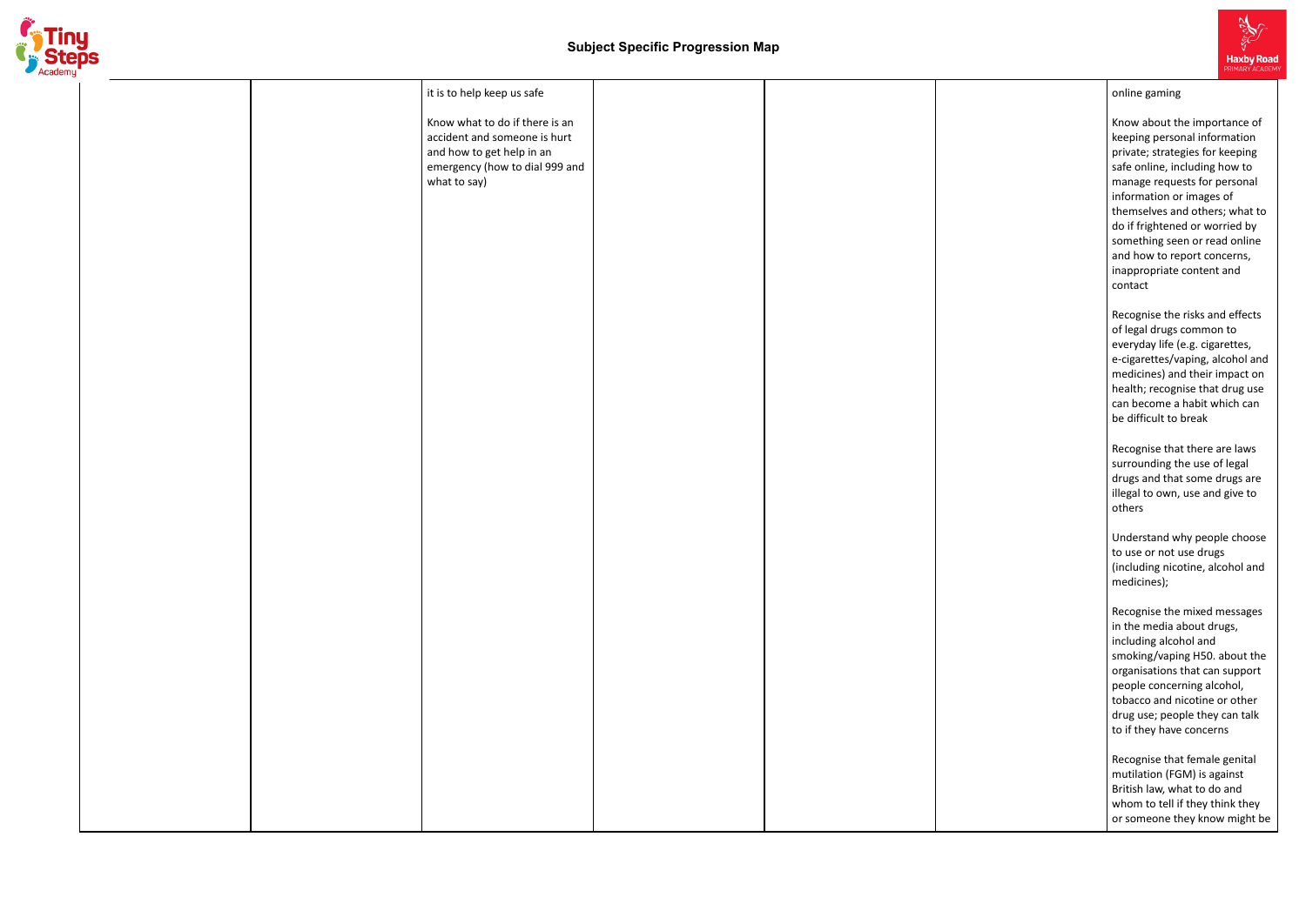

|  | it is to help keep us safe                                  |  |  |
|--|-------------------------------------------------------------|--|--|
|  | Know what to do if there is an                              |  |  |
|  | accident and someone is hurt                                |  |  |
|  | and how to get help in an<br>emergency (how to dial 999 and |  |  |
|  | what to say)                                                |  |  |
|  |                                                             |  |  |
|  |                                                             |  |  |
|  |                                                             |  |  |
|  |                                                             |  |  |
|  |                                                             |  |  |
|  |                                                             |  |  |
|  |                                                             |  |  |
|  |                                                             |  |  |
|  |                                                             |  |  |
|  |                                                             |  |  |
|  |                                                             |  |  |
|  |                                                             |  |  |
|  |                                                             |  |  |
|  |                                                             |  |  |
|  |                                                             |  |  |
|  |                                                             |  |  |
|  |                                                             |  |  |
|  |                                                             |  |  |
|  |                                                             |  |  |
|  |                                                             |  |  |
|  |                                                             |  |  |
|  |                                                             |  |  |
|  |                                                             |  |  |
|  |                                                             |  |  |
|  |                                                             |  |  |
|  |                                                             |  |  |
|  |                                                             |  |  |
|  |                                                             |  |  |
|  |                                                             |  |  |



#### o nlin e g a min g

Know about the importance of keeping personal information private; strategies for keeping safe online, including how to manage requests for personal information or images of themselves and others; what t o do if frightened or worried by something seen or read online and how to report concerns, inappropriate content and contact

Recognise the risks and effec t s o f le g al d r u g s c o m m o n t o everyday life (e.g. cigarettes, e-cigarettes/vaping, alcohol and medicines) and their impact on health; recognise that drug use can become a habit which can be difficult to break

Recognise that there are laws surrounding the use of legal drugs and that some drugs are illegal to own, use and give to others

Understand why people choos e to use or not use drugs (including nicotine, alcohol and medicines);

Recognise the mixed messages in the media about drugs, including alcohol and smoking/vaping H50. about the organisations that can support people concerning alcohol, tobacco and nicotine or other drug use; people they can talk to if they have concerns

Recognise that female genital mutilation (FGM) is against British law, what to do and whom to tell if they think they or someone they know might be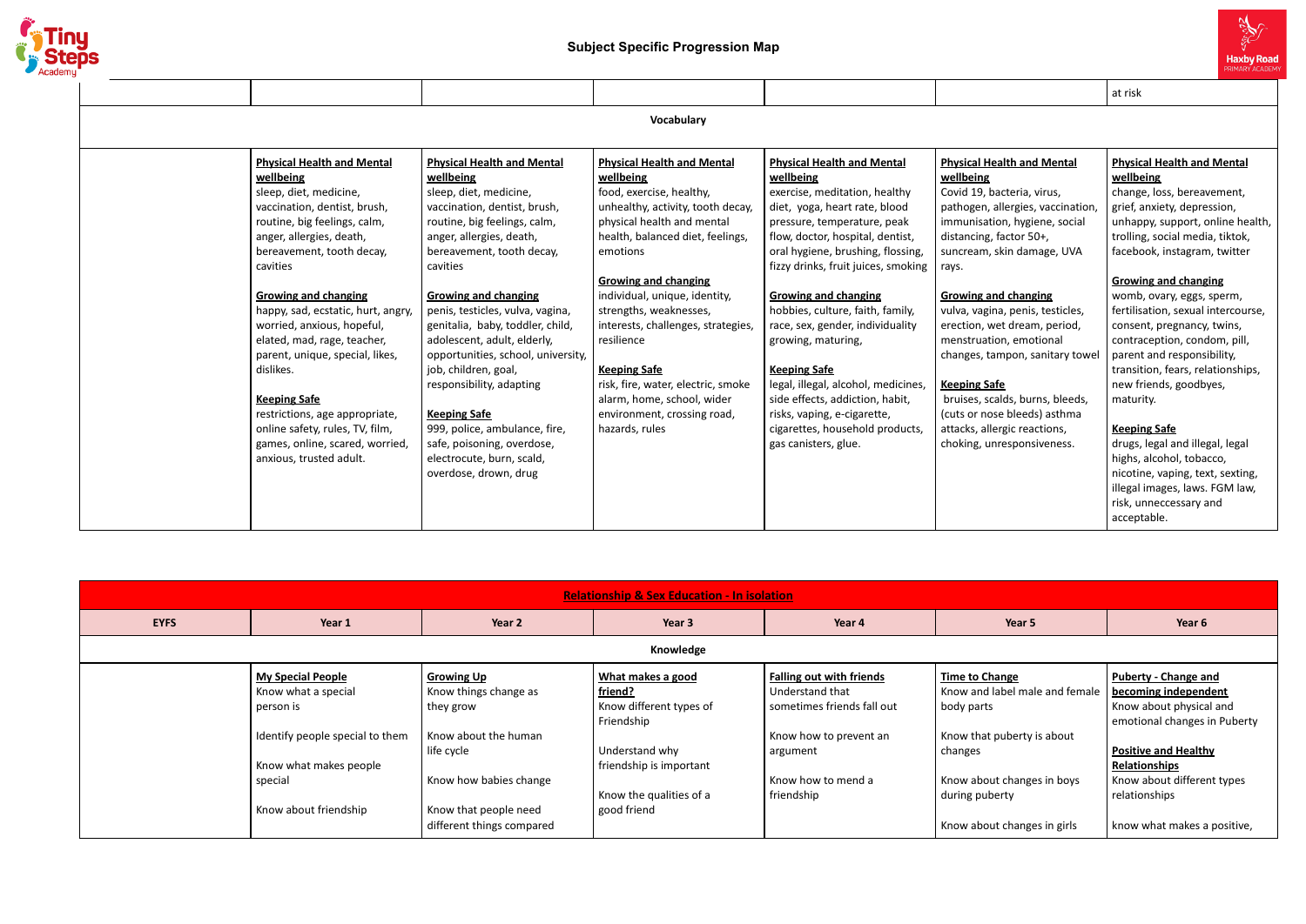

|                                                                                                                                                                                                                                                                                                                                                                                                                                                                                                                                                           |                                                                                                                                                                                                                                                                                                                                                                                                                                                                                                                                                                                           |                                                                                                                                                                                                                                                                                                                                                                                                                                                                                         |                                                                                                                                                                                                                                                                                                                                                                                                                                                                                                                                                                                         |                                                                                                                                                                                                                                                                                                                                                                                                                                                                                                                                               | at risk                                                                                                                                                                                                                                                                                                                                                                                                                                                                                                                                                                                                                                                                                           |
|-----------------------------------------------------------------------------------------------------------------------------------------------------------------------------------------------------------------------------------------------------------------------------------------------------------------------------------------------------------------------------------------------------------------------------------------------------------------------------------------------------------------------------------------------------------|-------------------------------------------------------------------------------------------------------------------------------------------------------------------------------------------------------------------------------------------------------------------------------------------------------------------------------------------------------------------------------------------------------------------------------------------------------------------------------------------------------------------------------------------------------------------------------------------|-----------------------------------------------------------------------------------------------------------------------------------------------------------------------------------------------------------------------------------------------------------------------------------------------------------------------------------------------------------------------------------------------------------------------------------------------------------------------------------------|-----------------------------------------------------------------------------------------------------------------------------------------------------------------------------------------------------------------------------------------------------------------------------------------------------------------------------------------------------------------------------------------------------------------------------------------------------------------------------------------------------------------------------------------------------------------------------------------|-----------------------------------------------------------------------------------------------------------------------------------------------------------------------------------------------------------------------------------------------------------------------------------------------------------------------------------------------------------------------------------------------------------------------------------------------------------------------------------------------------------------------------------------------|---------------------------------------------------------------------------------------------------------------------------------------------------------------------------------------------------------------------------------------------------------------------------------------------------------------------------------------------------------------------------------------------------------------------------------------------------------------------------------------------------------------------------------------------------------------------------------------------------------------------------------------------------------------------------------------------------|
|                                                                                                                                                                                                                                                                                                                                                                                                                                                                                                                                                           |                                                                                                                                                                                                                                                                                                                                                                                                                                                                                                                                                                                           | Vocabulary                                                                                                                                                                                                                                                                                                                                                                                                                                                                              |                                                                                                                                                                                                                                                                                                                                                                                                                                                                                                                                                                                         |                                                                                                                                                                                                                                                                                                                                                                                                                                                                                                                                               |                                                                                                                                                                                                                                                                                                                                                                                                                                                                                                                                                                                                                                                                                                   |
| <b>Physical Health and Mental</b><br>wellbeing<br>sleep, diet, medicine,<br>vaccination, dentist, brush,<br>routine, big feelings, calm,<br>anger, allergies, death,<br>bereavement, tooth decay,<br>cavities<br><b>Growing and changing</b><br>happy, sad, ecstatic, hurt, angry,<br>worried, anxious, hopeful,<br>elated, mad, rage, teacher,<br>parent, unique, special, likes,<br>dislikes.<br><b>Keeping Safe</b><br>restrictions, age appropriate,<br>online safety, rules, TV, film,<br>games, online, scared, worried,<br>anxious, trusted adult. | <b>Physical Health and Mental</b><br>wellbeing<br>sleep, diet, medicine,<br>vaccination, dentist, brush,<br>routine, big feelings, calm,<br>anger, allergies, death,<br>bereavement, tooth decay,<br>cavities<br><b>Growing and changing</b><br>penis, testicles, vulva, vagina,<br>genitalia, baby, toddler, child,<br>adolescent, adult, elderly,<br>opportunities, school, university,<br>job, children, goal,<br>responsibility, adapting<br><b>Keeping Safe</b><br>999, police, ambulance, fire,<br>safe, poisoning, overdose,<br>electrocute, burn, scald,<br>overdose, drown, drug | <b>Physical Health and Mental</b><br>wellbeing<br>food, exercise, healthy,<br>unhealthy, activity, tooth decay,<br>physical health and mental<br>health, balanced diet, feelings,<br>emotions<br><b>Growing and changing</b><br>individual, unique, identity,<br>strengths, weaknesses,<br>interests, challenges, strategies,<br>resilience<br><b>Keeping Safe</b><br>risk, fire, water, electric, smoke<br>alarm, home, school, wider<br>environment, crossing road,<br>hazards, rules | <b>Physical Health and Mental</b><br>wellbeing<br>exercise, meditation, healthy<br>diet, yoga, heart rate, blood<br>pressure, temperature, peak<br>flow, doctor, hospital, dentist,<br>oral hygiene, brushing, flossing,<br>fizzy drinks, fruit juices, smoking<br><b>Growing and changing</b><br>hobbies, culture, faith, family,<br>race, sex, gender, individuality<br>growing, maturing,<br><b>Keeping Safe</b><br>legal, illegal, alcohol, medicines,<br>side effects, addiction, habit,<br>risks, vaping, e-cigarette,<br>cigarettes, household products,<br>gas canisters, glue. | <b>Physical Health and Mental</b><br>wellbeing<br>Covid 19, bacteria, virus,<br>pathogen, allergies, vaccination,<br>immunisation, hygiene, social<br>distancing, factor 50+,<br>suncream, skin damage, UVA<br>rays.<br><b>Growing and changing</b><br>vulva, vagina, penis, testicles,<br>erection, wet dream, period,<br>menstruation, emotional<br>changes, tampon, sanitary towel<br><b>Keeping Safe</b><br>bruises, scalds, burns, bleeds,<br>(cuts or nose bleeds) asthma<br>attacks, allergic reactions,<br>choking, unresponsiveness. | <b>Physical Health and Mental</b><br>wellbeing<br>change, loss, bereavement,<br>grief, anxiety, depression,<br>unhappy, support, online health,<br>trolling, social media, tiktok,<br>facebook, instagram, twitter<br><b>Growing and changing</b><br>womb, ovary, eggs, sperm,<br>fertilisation, sexual intercourse,<br>consent, pregnancy, twins,<br>contraception, condom, pill,<br>parent and responsibility,<br>transition, fears, relationships,<br>new friends, goodbyes,<br>maturity.<br><b>Keeping Safe</b><br>drugs, legal and illegal, legal<br>highs, alcohol, tobacco,<br>nicotine, vaping, text, sexting,<br>illegal images, laws. FGM law,<br>risk, unneccessary and<br>acceptable. |

|             | <b>Relationship &amp; Sex Education - In isolation</b>                                                                                                        |                                                                                                                                                                               |                                                                                                                                                                     |                                                                                                                                                            |                                                                                                                                                                                        |                                                                                                                                                                                                                                                     |  |  |  |
|-------------|---------------------------------------------------------------------------------------------------------------------------------------------------------------|-------------------------------------------------------------------------------------------------------------------------------------------------------------------------------|---------------------------------------------------------------------------------------------------------------------------------------------------------------------|------------------------------------------------------------------------------------------------------------------------------------------------------------|----------------------------------------------------------------------------------------------------------------------------------------------------------------------------------------|-----------------------------------------------------------------------------------------------------------------------------------------------------------------------------------------------------------------------------------------------------|--|--|--|
| <b>EYFS</b> | Year 1                                                                                                                                                        | Year 2                                                                                                                                                                        | Year 3                                                                                                                                                              | Year 4                                                                                                                                                     | Year 5                                                                                                                                                                                 | Year 6                                                                                                                                                                                                                                              |  |  |  |
| Knowledge   |                                                                                                                                                               |                                                                                                                                                                               |                                                                                                                                                                     |                                                                                                                                                            |                                                                                                                                                                                        |                                                                                                                                                                                                                                                     |  |  |  |
|             | <b>My Special People</b><br>Know what a special<br>person is<br>Identify people special to them<br>Know what makes people<br>special<br>Know about friendship | <b>Growing Up</b><br>Know things change as<br>they grow<br>Know about the human<br>life cycle<br>Know how babies change<br>Know that people need<br>different things compared | What makes a good<br><u>friend?</u><br>Know different types of<br>Friendship<br>Understand why<br>friendship is important<br>Know the qualities of a<br>good friend | <b>Falling out with friends</b><br>Understand that<br>sometimes friends fall out<br>Know how to prevent an<br>argument<br>Know how to mend a<br>friendship | Time to Change<br>Know and label male and female<br>body parts<br>Know that puberty is about<br>changes<br>Know about changes in boys<br>during puberty<br>Know about changes in girls | <b>Puberty - Change and</b><br>becoming independent<br>Know about physical and<br>emotional changes in Puberty<br><b>Positive and Healthy</b><br><b>Relationships</b><br>Know about different types<br>relationships<br>know what makes a positive, |  |  |  |

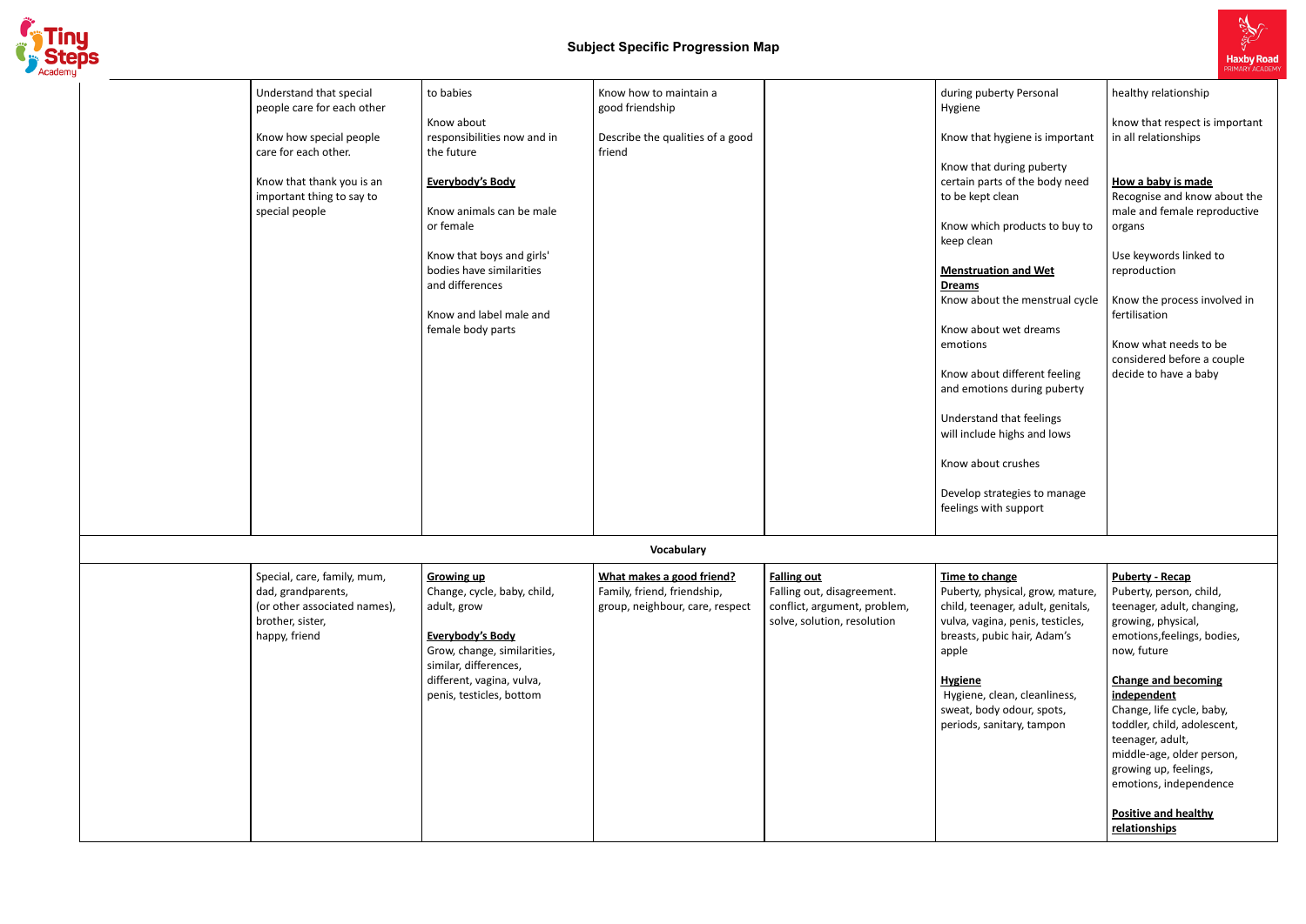

# **Subject Specific Progression Map**

| Understand that special<br>people care for each other<br>Know how special people<br>care for each other.<br>Know that thank you is an<br>important thing to say to<br>special people | to babies<br>Know about<br>responsibilities now and in<br>the future<br>Everybody's Body<br>Know animals can be male<br>or female<br>Know that boys and girls'<br>bodies have similarities<br>and differences<br>Know and label male and<br>female body parts | Know how to maintain a<br>good friendship<br>Describe the qualities of a good<br>friend     |                                                                                                                 | during puberty Personal<br>Hygiene<br>Know that hygiene is important<br>Know that during puberty<br>certain parts of the body need<br>to be kept clean<br>Know which products to buy to<br>keep clean<br><b>Menstruation and Wet</b><br><b>Dreams</b><br>Know about the menstrual cycle<br>Know about wet dreams<br>emotions<br>Know about different feeling<br>and emotions during puberty<br>Understand that feelings<br>will include highs and lows<br>Know about crushes<br>Develop strategies to manage | healthy relationship<br>know that respect is important<br>in all relationships<br>How a baby is made<br>Recognise and know about the<br>male and female reproductive<br>organs<br>Use keywords linked to<br>reproduction<br>Know the process involved in<br>fertilisation<br>Know what needs to be<br>considered before a couple<br>decide to have a baby                                                        |
|--------------------------------------------------------------------------------------------------------------------------------------------------------------------------------------|---------------------------------------------------------------------------------------------------------------------------------------------------------------------------------------------------------------------------------------------------------------|---------------------------------------------------------------------------------------------|-----------------------------------------------------------------------------------------------------------------|--------------------------------------------------------------------------------------------------------------------------------------------------------------------------------------------------------------------------------------------------------------------------------------------------------------------------------------------------------------------------------------------------------------------------------------------------------------------------------------------------------------|------------------------------------------------------------------------------------------------------------------------------------------------------------------------------------------------------------------------------------------------------------------------------------------------------------------------------------------------------------------------------------------------------------------|
|                                                                                                                                                                                      |                                                                                                                                                                                                                                                               |                                                                                             |                                                                                                                 | feelings with support                                                                                                                                                                                                                                                                                                                                                                                                                                                                                        |                                                                                                                                                                                                                                                                                                                                                                                                                  |
|                                                                                                                                                                                      |                                                                                                                                                                                                                                                               | Vocabulary                                                                                  |                                                                                                                 |                                                                                                                                                                                                                                                                                                                                                                                                                                                                                                              |                                                                                                                                                                                                                                                                                                                                                                                                                  |
| Special, care, family, mum,<br>dad, grandparents,<br>(or other associated names),<br>brother, sister,<br>happy, friend                                                               | <b>Growing up</b><br>Change, cycle, baby, child,<br>adult, grow<br>Everybody's Body<br>Grow, change, similarities,<br>similar, differences,<br>different, vagina, vulva,<br>penis, testicles, bottom                                                          | What makes a good friend?<br>Family, friend, friendship,<br>group, neighbour, care, respect | <b>Falling out</b><br>Falling out, disagreement.<br>conflict, argument, problem,<br>solve, solution, resolution | Time to change<br>Puberty, physical, grow, mature,<br>child, teenager, adult, genitals,<br>vulva, vagina, penis, testicles,<br>breasts, pubic hair, Adam's<br>apple<br><b>Hygiene</b><br>Hygiene, clean, cleanliness,<br>sweat, body odour, spots,<br>periods, sanitary, tampon                                                                                                                                                                                                                              | <b>Puberty - Recap</b><br>Puberty, person, child,<br>teenager, adult, changing,<br>growing, physical,<br>emotions, feelings, bodies,<br>now, future<br><b>Change and becoming</b><br>independent<br>Change, life cycle, baby,<br>toddler, child, adolescent,<br>teenager, adult,<br>middle-age, older person,<br>growing up, feelings,<br>emotions, independence<br><b>Positive and healthy</b><br>relationships |



| berty Personal                                       | healthy relationship                                                               |  |  |  |
|------------------------------------------------------|------------------------------------------------------------------------------------|--|--|--|
| t hygiene is important                               | know that respect is important<br>in all relationships                             |  |  |  |
| t during puberty<br>arts of the body need<br>t clean | How a baby is made<br>Recognise and know about the<br>male and female reproductive |  |  |  |
| ich products to buy to<br>n                          | organs                                                                             |  |  |  |
| <b>ation and Wet</b>                                 | Use keywords linked to<br>reproduction                                             |  |  |  |
| out the menstrual cycle                              | Know the process involved in<br>fertilisation                                      |  |  |  |
| out wet dreams                                       |                                                                                    |  |  |  |
| out different feeling<br>ions during puberty         | Know what needs to be<br>considered before a couple<br>decide to have a baby       |  |  |  |
| nd that feelings<br>de highs and lows                |                                                                                    |  |  |  |
| out crushes                                          |                                                                                    |  |  |  |
| trategies to manage<br>rith support                  |                                                                                    |  |  |  |
|                                                      |                                                                                    |  |  |  |